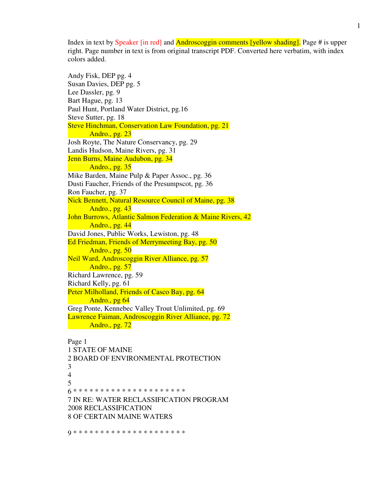Index in text by Speaker [in red] and Androscoggin comments [yellow shading]. Page # is upper right. Page number in text is from original transcript PDF. Converted here verbatim, with index colors added.

Andy Fisk, DEP pg. 4 Susan Davies, DEP pg. 5 Lee Dassler, pg. 9 Bart Hague, pg. 13 Paul Hunt, Portland Water District, pg.16 Steve Sutter, pg. 18 Steve Hinchman, Conservation Law Foundation, pg. 21 Andro., pg. 23 Josh Royte, The Nature Conservancy, pg. 29 Landis Hudson, Maine Rivers, pg. 31 Jenn Burns, Maine Audubon, pg. 34 Andro., pg. 35 Mike Barden, Maine Pulp & Paper Assoc., pg. 36 Dusti Faucher, Friends of the Presumpscot, pg. 36 Ron Faucher, pg. 37 Nick Bennett, Natural Resource Council of Maine, pg. 38 Andro., pg. 43 John Burrows, Atlantic Salmon Federation & Maine Rivers, 42 Andro., pg. 44 David Jones, Public Works, Lewiston, pg. 48 Ed Friedman, Friends of Merrymeeting Bay, pg. 50 Andro., pg. 50 Neil Ward, Androscoggin River Alliance, pg. 57 Andro., pg. 57 Richard Lawrence, pg. 59 Richard Kelly, pg. 61 Peter Milholland, Friends of Casco Bay, pg. 64 Andro., pg 64 Greg Ponte, Kennebec Valley Trout Unlimited, pg. 69 Lawrence Faiman, Androscoggin River Alliance, pg. 72 Andro., pg. 72

Page 1 1 STATE OF MAINE 2 BOARD OF ENVIRONMENTAL PROTECTION 3 4 5 6 \* \* \* \* \* \* \* \* \* \* \* \* \* \* \* \* \* \* \* \* \* 7 IN RE: WATER RECLASSIFICATION PROGRAM 2008 RECLASSIFICATION 8 OF CERTAIN MAINE WATERS

9 \* \* \* \* \* \* \* \* \* \* \* \* \* \* \* \* \* \* \* \* \*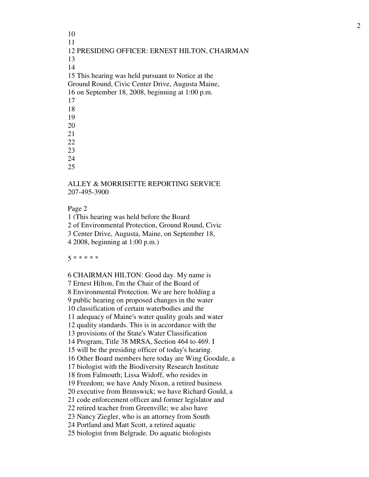10 11 12 PRESIDING OFFICER: ERNEST HILTON, CHAIRMAN 13 14 15 This hearing was held pursuant to Notice at the Ground Round, Civic Center Drive, Augusta Maine, 16 on September 18, 2008, beginning at 1:00 p.m. 17 18 19 20 21 22 23 24 25

# ALLEY & MORRISETTE REPORTING SERVICE 207-495-3900

Page 2

1 (This hearing was held before the Board 2 of Environmental Protection, Ground Round, Civic 3 Center Drive, Augusta, Maine, on September 18, 4 2008, beginning at 1:00 p.m.)

5 \* \* \* \* \*

6 CHAIRMAN HILTON: Good day. My name is 7 Ernest Hilton, I'm the Chair of the Board of 8 Environmental Protection. We are here holding a 9 public hearing on proposed changes in the water 10 classification of certain waterbodies and the 11 adequacy of Maine's water quality goals and water 12 quality standards. This is in accordance with the 13 provisions of the State's Water Classification 14 Program, Title 38 MRSA, Section 464 to 469. I 15 will be the presiding officer of today's hearing. 16 Other Board members here today are Wing Goodale, a 17 biologist with the Biodiversity Research Institute 18 from Falmouth; Lissa Widoff, who resides in 19 Freedom; we have Andy Nixon, a retired business 20 executive from Brunswick; we have Richard Gould, a 21 code enforcement officer and former legislator and 22 retired teacher from Greenville; we also have 23 Nancy Ziegler, who is an attorney from South 24 Portland and Matt Scott, a retired aquatic 25 biologist from Belgrade. Do aquatic biologists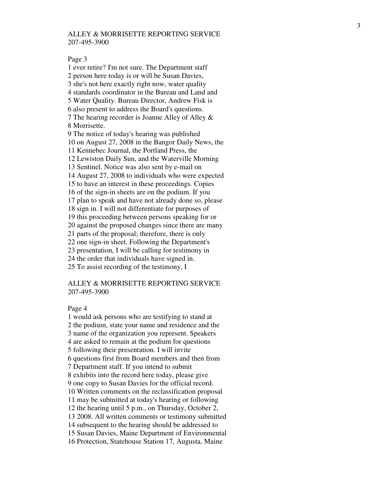#### Page 3

1 ever retire? I'm not sure. The Department staff 2 person here today is or will be Susan Davies, 3 she's not here exactly right now, water quality 4 standards coordinator in the Bureau and Land and 5 Water Quality. Bureau Director, Andrew Fisk is 6 also present to address the Board's questions. 7 The hearing recorder is Joanne Alley of Alley & 8 Morrisette. 9 The notice of today's hearing was published 10 on August 27, 2008 in the Bangor Daily News, the 11 Kennebec Journal, the Portland Press, the 12 Lewiston Daily Sun, and the Waterville Morning 13 Sentinel. Notice was also sent by e-mail on 14 August 27, 2008 to individuals who were expected 15 to have an interest in these proceedings. Copies 16 of the sign-in sheets are on the podium. If you 17 plan to speak and have not already done so, please 18 sign in. I will not differentiate for purposes of 19 this proceeding between persons speaking for or 20 against the proposed changes since there are many 21 parts of the proposal; therefore, there is only 22 one sign-in sheet. Following the Department's 23 presentation, I will be calling for testimony in 24 the order that individuals have signed in. 25 To assist recording of the testimony, I

## ALLEY & MORRISETTE REPORTING SERVICE 207-495-3900

#### Page 4

1 would ask persons who are testifying to stand at 2 the podium, state your name and residence and the 3 name of the organization you represent. Speakers 4 are asked to remain at the podium for questions 5 following their presentation. I will invite 6 questions first from Board members and then from 7 Department staff. If you intend to submit 8 exhibits into the record here today, please give 9 one copy to Susan Davies for the official record. 10 Written comments on the reclassification proposal 11 may be submitted at today's hearing or following 12 the hearing until 5 p.m., on Thursday, October 2, 13 2008. All written comments or testimony submitted 14 subsequent to the hearing should be addressed to 15 Susan Davies, Maine Department of Environmental 16 Protection, Statehouse Station 17, Augusta, Maine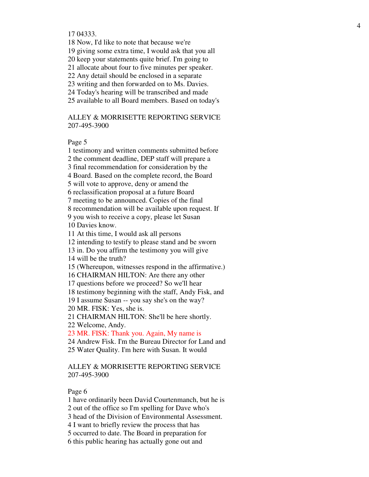17 04333.

18 Now, I'd like to note that because we're

19 giving some extra time, I would ask that you all

20 keep your statements quite brief. I'm going to

21 allocate about four to five minutes per speaker.

22 Any detail should be enclosed in a separate

23 writing and then forwarded on to Ms. Davies.

24 Today's hearing will be transcribed and made

25 available to all Board members. Based on today's

ALLEY & MORRISETTE REPORTING SERVICE 207-495-3900

Page 5

1 testimony and written comments submitted before

2 the comment deadline, DEP staff will prepare a

3 final recommendation for consideration by the

4 Board. Based on the complete record, the Board

5 will vote to approve, deny or amend the

6 reclassification proposal at a future Board

7 meeting to be announced. Copies of the final

8 recommendation will be available upon request. If

9 you wish to receive a copy, please let Susan

10 Davies know.

11 At this time, I would ask all persons

12 intending to testify to please stand and be sworn

13 in. Do you affirm the testimony you will give

14 will be the truth?

15 (Whereupon, witnesses respond in the affirmative.)

16 CHAIRMAN HILTON: Are there any other

17 questions before we proceed? So we'll hear

18 testimony beginning with the staff, Andy Fisk, and

19 I assume Susan -- you say she's on the way?

20 MR. FISK: Yes, she is.

21 CHAIRMAN HILTON: She'll be here shortly.

22 Welcome, Andy.

23 MR. FISK: Thank you. Again, My name is

24 Andrew Fisk. I'm the Bureau Director for Land and

25 Water Quality. I'm here with Susan. It would

### ALLEY & MORRISETTE REPORTING SERVICE 207-495-3900

Page 6

1 have ordinarily been David Courtenmanch, but he is

2 out of the office so I'm spelling for Dave who's

3 head of the Division of Environmental Assessment.

4 I want to briefly review the process that has

5 occurred to date. The Board in preparation for

6 this public hearing has actually gone out and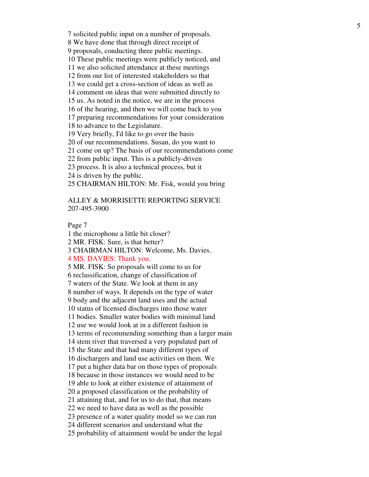7 solicited public input on a number of proposals. 8 We have done that through direct receipt of 9 proposals, conducting three public meetings. 10 These public meetings were publicly noticed, and 11 we also solicited attendance at these meetings 12 from our list of interested stakeholders so that 13 we could get a cross-section of ideas as well as 14 comment on ideas that were submitted directly to 15 us. As noted in the notice, we are in the process 16 of the hearing, and then we will come back to you 17 preparing recommendations for your consideration 18 to advance to the Legislature. 19 Very briefly, I'd like to go over the basis 20 of our recommendations. Susan, do you want to 21 come on up? The basis of our recommendations come 22 from public input. This is a publicly-driven 23 process. It is also a technical process, but it 24 is driven by the public.

25 CHAIRMAN HILTON: Mr. Fisk, would you bring

# ALLEY & MORRISETTE REPORTING SERVICE 207-495-3900

Page 7

1 the microphone a little bit closer? 2 MR. FISK: Sure, is that better? 3 CHAIRMAN HILTON: Welcome, Ms. Davies. 4 MS. DAVIES: Thank you. 5 MR. FISK: So proposals will come to us for 6 reclassification, change of classification of 7 waters of the State. We look at them in any 8 number of ways. It depends on the type of water 9 body and the adjacent land uses and the actual 10 status of licensed discharges into those water 11 bodies. Smaller water bodies with minimal land 12 use we would look at in a different fashion in 13 terms of recommending something than a larger main 14 stem river that traversed a very populated part of 15 the State and that had many different types of 16 dischargers and land use activities on them. We 17 put a higher data bar on those types of proposals 18 because in those instances we would need to be 19 able to look at either existence of attainment of 20 a proposed classification or the probability of 21 attaining that, and for us to do that, that means 22 we need to have data as well as the possible 23 presence of a water quality model so we can run 24 different scenarios and understand what the 25 probability of attainment would be under the legal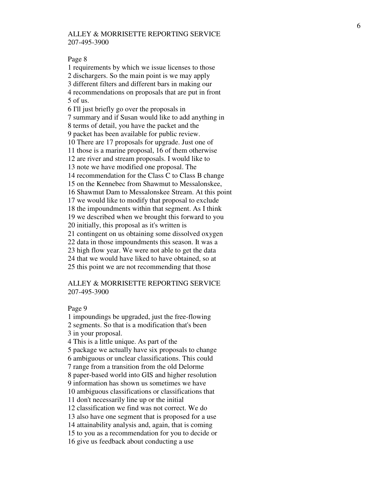#### Page 8

1 requirements by which we issue licenses to those 2 dischargers. So the main point is we may apply 3 different filters and different bars in making our 4 recommendations on proposals that are put in front 5 of us. 6 I'll just briefly go over the proposals in 7 summary and if Susan would like to add anything in 8 terms of detail, you have the packet and the 9 packet has been available for public review. 10 There are 17 proposals for upgrade. Just one of 11 those is a marine proposal, 16 of them otherwise 12 are river and stream proposals. I would like to 13 note we have modified one proposal. The 14 recommendation for the Class C to Class B change 15 on the Kennebec from Shawmut to Messalonskee, 16 Shawmut Dam to Messalonskee Stream. At this point 17 we would like to modify that proposal to exclude 18 the impoundments within that segment. As I think 19 we described when we brought this forward to you 20 initially, this proposal as it's written is 21 contingent on us obtaining some dissolved oxygen 22 data in those impoundments this season. It was a 23 high flow year. We were not able to get the data 24 that we would have liked to have obtained, so at 25 this point we are not recommending that those

### ALLEY & MORRISETTE REPORTING SERVICE 207-495-3900

#### Page 9

1 impoundings be upgraded, just the free-flowing 2 segments. So that is a modification that's been 3 in your proposal. 4 This is a little unique. As part of the 5 package we actually have six proposals to change 6 ambiguous or unclear classifications. This could 7 range from a transition from the old Delorme 8 paper-based world into GIS and higher resolution 9 information has shown us sometimes we have 10 ambiguous classifications or classifications that 11 don't necessarily line up or the initial 12 classification we find was not correct. We do 13 also have one segment that is proposed for a use 14 attainability analysis and, again, that is coming 15 to you as a recommendation for you to decide or 16 give us feedback about conducting a use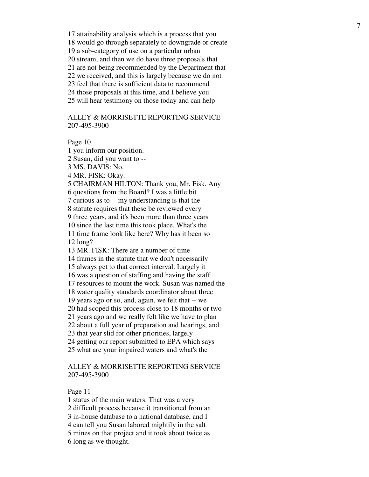17 attainability analysis which is a process that you 18 would go through separately to downgrade or create 19 a sub-category of use on a particular urban 20 stream, and then we do have three proposals that 21 are not being recommended by the Department that 22 we received, and this is largely because we do not 23 feel that there is sufficient data to recommend 24 those proposals at this time, and I believe you 25 will hear testimony on those today and can help

# ALLEY & MORRISETTE REPORTING SERVICE 207-495-3900

Page 10

1 you inform our position.

2 Susan, did you want to --

3 MS. DAVIS: No.

4 MR. FISK: Okay.

5 CHAIRMAN HILTON: Thank you, Mr. Fisk. Any

6 questions from the Board? I was a little bit

7 curious as to -- my understanding is that the

8 statute requires that these be reviewed every

9 three years, and it's been more than three years

10 since the last time this took place. What's the

11 time frame look like here? Why has it been so 12 long?

13 MR. FISK: There are a number of time

14 frames in the statute that we don't necessarily

15 always get to that correct interval. Largely it

16 was a question of staffing and having the staff

17 resources to mount the work. Susan was named the

18 water quality standards coordinator about three

19 years ago or so, and, again, we felt that -- we

20 had scoped this process close to 18 months or two

21 years ago and we really felt like we have to plan

22 about a full year of preparation and hearings, and

23 that year slid for other priorities, largely

24 getting our report submitted to EPA which says

25 what are your impaired waters and what's the

## ALLEY & MORRISETTE REPORTING SERVICE 207-495-3900

Page 11

1 status of the main waters. That was a very

2 difficult process because it transitioned from an

3 in-house database to a national database, and I

4 can tell you Susan labored mightily in the salt

5 mines on that project and it took about twice as

6 long as we thought.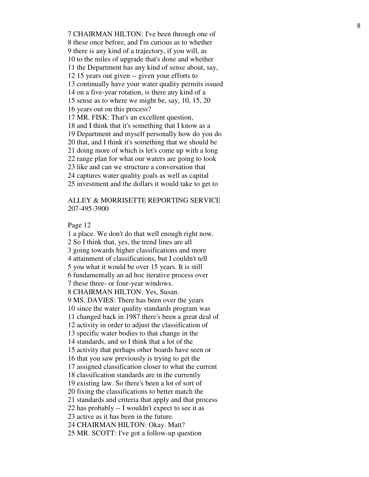7 CHAIRMAN HILTON: I've been through one of 8 these once before, and I'm curious as to whether 9 there is any kind of a trajectory, if you will, as 10 to the miles of upgrade that's done and whether 11 the Department has any kind of sense about, say, 12 15 years out given -- given your efforts to 13 continually have your water quality permits issued 14 on a five-year rotation, is there any kind of a 15 sense as to where we might be, say, 10, 15, 20 16 years out on this process? 17 MR. FISK: That's an excellent question, 18 and I think that it's something that I know as a 19 Department and myself personally how do you do 20 that, and I think it's something that we should be 21 doing more of which is let's come up with a long 22 range plan for what our waters are going to look 23 like and can we structure a conversation that 24 captures water quality goals as well as capital 25 investment and the dollars it would take to get to

## ALLEY & MORRISETTE REPORTING SERVICE 207-495-3900

Page 12

1 a place. We don't do that well enough right now. 2 So I think that, yes, the trend lines are all 3 going towards higher classifications and more 4 attainment of classifications, but I couldn't tell 5 you what it would be over 15 years. It is still 6 fundamentally an ad hoc iterative process over 7 these three- or four-year windows. 8 CHAIRMAN HILTON: Yes, Susan. 9 MS. DAVIES: There has been over the years 10 since the water quality standards program was 11 changed back in 1987 there's been a great deal of 12 activity in order to adjust the classification of 13 specific water bodies to that change in the 14 standards, and so I think that a lot of the 15 activity that perhaps other boards have seen or 16 that you saw previously is trying to get the 17 assigned classification closer to what the current 18 classification standards are in the currently 19 existing law. So there's been a lot of sort of 20 fixing the classifications to better match the 21 standards and criteria that apply and that process 22 has probably -- I wouldn't expect to see it as 23 active as it has been in the future. 24 CHAIRMAN HILTON: Okay. Matt? 25 MR. SCOTT: I've got a follow-up question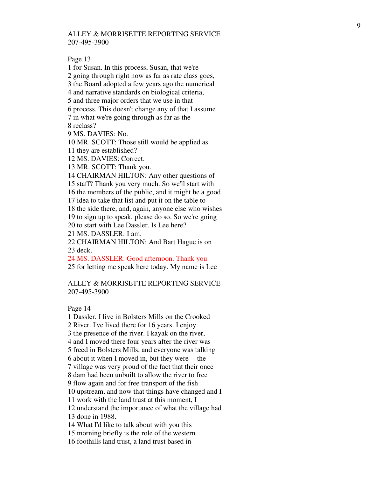Page 13

1 for Susan. In this process, Susan, that we're 2 going through right now as far as rate class goes, 3 the Board adopted a few years ago the numerical 4 and narrative standards on biological criteria, 5 and three major orders that we use in that 6 process. This doesn't change any of that I assume 7 in what we're going through as far as the 8 reclass? 9 MS. DAVIES: No. 10 MR. SCOTT: Those still would be applied as 11 they are established? 12 MS. DAVIES: Correct. 13 MR. SCOTT: Thank you. 14 CHAIRMAN HILTON: Any other questions of 15 staff? Thank you very much. So we'll start with 16 the members of the public, and it might be a good 17 idea to take that list and put it on the table to 18 the side there, and, again, anyone else who wishes 19 to sign up to speak, please do so. So we're going 20 to start with Lee Dassler. Is Lee here? 21 MS. DASSLER: I am. 22 CHAIRMAN HILTON: And Bart Hague is on 23 deck.

24 MS. DASSLER: Good afternoon. Thank you

25 for letting me speak here today. My name is Lee

## ALLEY & MORRISETTE REPORTING SERVICE 207-495-3900

Page 14

1 Dassler. I live in Bolsters Mills on the Crooked 2 River. I've lived there for 16 years. I enjoy 3 the presence of the river. I kayak on the river, 4 and I moved there four years after the river was 5 freed in Bolsters Mills, and everyone was talking 6 about it when I moved in, but they were -- the 7 village was very proud of the fact that their once 8 dam had been unbuilt to allow the river to free 9 flow again and for free transport of the fish 10 upstream, and now that things have changed and I 11 work with the land trust at this moment, I 12 understand the importance of what the village had 13 done in 1988. 14 What I'd like to talk about with you this 15 morning briefly is the role of the western 16 foothills land trust, a land trust based in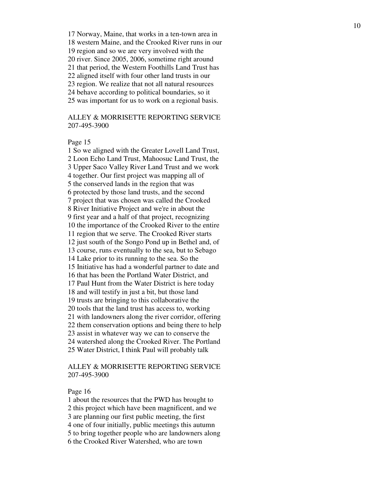17 Norway, Maine, that works in a ten-town area in 18 western Maine, and the Crooked River runs in our 19 region and so we are very involved with the 20 river. Since 2005, 2006, sometime right around 21 that period, the Western Foothills Land Trust has 22 aligned itself with four other land trusts in our 23 region. We realize that not all natural resources 24 behave according to political boundaries, so it 25 was important for us to work on a regional basis.

# ALLEY & MORRISETTE REPORTING SERVICE 207-495-3900

#### Page 15

1 So we aligned with the Greater Lovell Land Trust, 2 Loon Echo Land Trust, Mahoosuc Land Trust, the 3 Upper Saco Valley River Land Trust and we work 4 together. Our first project was mapping all of 5 the conserved lands in the region that was 6 protected by those land trusts, and the second 7 project that was chosen was called the Crooked 8 River Initiative Project and we're in about the 9 first year and a half of that project, recognizing 10 the importance of the Crooked River to the entire 11 region that we serve. The Crooked River starts 12 just south of the Songo Pond up in Bethel and, of 13 course, runs eventually to the sea, but to Sebago 14 Lake prior to its running to the sea. So the 15 Initiative has had a wonderful partner to date and 16 that has been the Portland Water District, and 17 Paul Hunt from the Water District is here today 18 and will testify in just a bit, but those land 19 trusts are bringing to this collaborative the 20 tools that the land trust has access to, working 21 with landowners along the river corridor, offering 22 them conservation options and being there to help 23 assist in whatever way we can to conserve the 24 watershed along the Crooked River. The Portland 25 Water District, I think Paul will probably talk

# ALLEY & MORRISETTE REPORTING SERVICE 207-495-3900

#### Page 16

1 about the resources that the PWD has brought to 2 this project which have been magnificent, and we 3 are planning our first public meeting, the first 4 one of four initially, public meetings this autumn 5 to bring together people who are landowners along 6 the Crooked River Watershed, who are town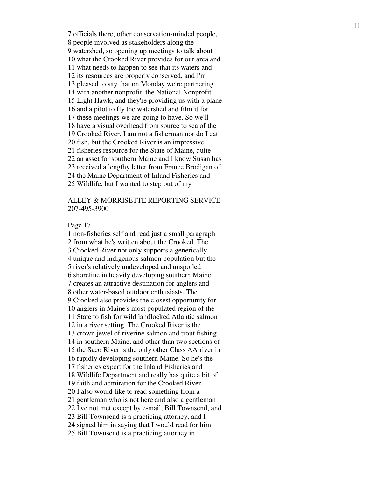7 officials there, other conservation-minded people, 8 people involved as stakeholders along the 9 watershed, so opening up meetings to talk about 10 what the Crooked River provides for our area and 11 what needs to happen to see that its waters and 12 its resources are properly conserved, and I'm 13 pleased to say that on Monday we're partnering 14 with another nonprofit, the National Nonprofit 15 Light Hawk, and they're providing us with a plane 16 and a pilot to fly the watershed and film it for 17 these meetings we are going to have. So we'll 18 have a visual overhead from source to sea of the 19 Crooked River. I am not a fisherman nor do I eat 20 fish, but the Crooked River is an impressive 21 fisheries resource for the State of Maine, quite 22 an asset for southern Maine and I know Susan has 23 received a lengthy letter from France Brodigan of 24 the Maine Department of Inland Fisheries and 25 Wildlife, but I wanted to step out of my

## ALLEY & MORRISETTE REPORTING SERVICE 207-495-3900

Page 17

1 non-fisheries self and read just a small paragraph 2 from what he's written about the Crooked. The 3 Crooked River not only supports a generically 4 unique and indigenous salmon population but the 5 river's relatively undeveloped and unspoiled 6 shoreline in heavily developing southern Maine 7 creates an attractive destination for anglers and 8 other water-based outdoor enthusiasts. The 9 Crooked also provides the closest opportunity for 10 anglers in Maine's most populated region of the 11 State to fish for wild landlocked Atlantic salmon 12 in a river setting. The Crooked River is the 13 crown jewel of riverine salmon and trout fishing 14 in southern Maine, and other than two sections of 15 the Saco River is the only other Class AA river in 16 rapidly developing southern Maine. So he's the 17 fisheries expert for the Inland Fisheries and 18 Wildlife Department and really has quite a bit of 19 faith and admiration for the Crooked River. 20 I also would like to read something from a 21 gentleman who is not here and also a gentleman 22 I've not met except by e-mail, Bill Townsend, and 23 Bill Townsend is a practicing attorney, and I 24 signed him in saying that I would read for him. 25 Bill Townsend is a practicing attorney in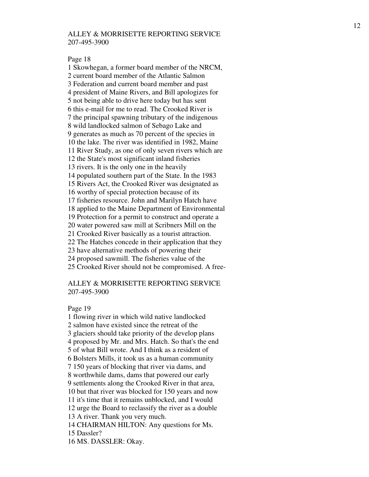Page 18

1 Skowhegan, a former board member of the NRCM, 2 current board member of the Atlantic Salmon 3 Federation and current board member and past 4 president of Maine Rivers, and Bill apologizes for 5 not being able to drive here today but has sent 6 this e-mail for me to read. The Crooked River is 7 the principal spawning tributary of the indigenous 8 wild landlocked salmon of Sebago Lake and 9 generates as much as 70 percent of the species in 10 the lake. The river was identified in 1982, Maine 11 River Study, as one of only seven rivers which are 12 the State's most significant inland fisheries 13 rivers. It is the only one in the heavily 14 populated southern part of the State. In the 1983 15 Rivers Act, the Crooked River was designated as 16 worthy of special protection because of its 17 fisheries resource. John and Marilyn Hatch have 18 applied to the Maine Department of Environmental 19 Protection for a permit to construct and operate a 20 water powered saw mill at Scribners Mill on the 21 Crooked River basically as a tourist attraction. 22 The Hatches concede in their application that they 23 have alternative methods of powering their 24 proposed sawmill. The fisheries value of the 25 Crooked River should not be compromised. A free-

# ALLEY & MORRISETTE REPORTING SERVICE 207-495-3900

Page 19

1 flowing river in which wild native landlocked 2 salmon have existed since the retreat of the 3 glaciers should take priority of the develop plans 4 proposed by Mr. and Mrs. Hatch. So that's the end 5 of what Bill wrote. And I think as a resident of 6 Bolsters Mills, it took us as a human community 7 150 years of blocking that river via dams, and 8 worthwhile dams, dams that powered our early 9 settlements along the Crooked River in that area, 10 but that river was blocked for 150 years and now 11 it's time that it remains unblocked, and I would 12 urge the Board to reclassify the river as a double 13 A river. Thank you very much. 14 CHAIRMAN HILTON: Any questions for Ms. 15 Dassler?

16 MS. DASSLER: Okay.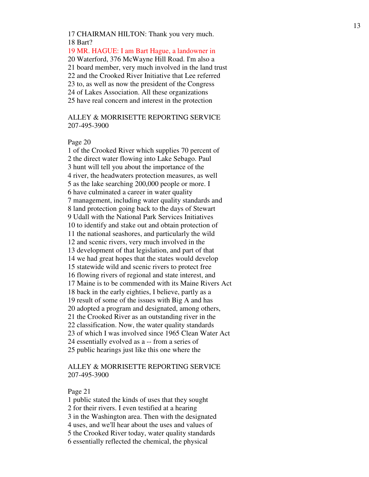17 CHAIRMAN HILTON: Thank you very much. 18 Bart?

19 MR. HAGUE: I am Bart Hague, a landowner in 20 Waterford, 376 McWayne Hill Road. I'm also a 21 board member, very much involved in the land trust 22 and the Crooked River Initiative that Lee referred 23 to, as well as now the president of the Congress 24 of Lakes Association. All these organizations 25 have real concern and interest in the protection

ALLEY & MORRISETTE REPORTING SERVICE 207-495-3900

Page 20

1 of the Crooked River which supplies 70 percent of 2 the direct water flowing into Lake Sebago. Paul 3 hunt will tell you about the importance of the 4 river, the headwaters protection measures, as well 5 as the lake searching 200,000 people or more. I 6 have culminated a career in water quality 7 management, including water quality standards and 8 land protection going back to the days of Stewart 9 Udall with the National Park Services Initiatives 10 to identify and stake out and obtain protection of 11 the national seashores, and particularly the wild 12 and scenic rivers, very much involved in the 13 development of that legislation, and part of that 14 we had great hopes that the states would develop 15 statewide wild and scenic rivers to protect free 16 flowing rivers of regional and state interest, and 17 Maine is to be commended with its Maine Rivers Act 18 back in the early eighties, I believe, partly as a 19 result of some of the issues with Big A and has 20 adopted a program and designated, among others, 21 the Crooked River as an outstanding river in the 22 classification. Now, the water quality standards 23 of which I was involved since 1965 Clean Water Act 24 essentially evolved as a -- from a series of 25 public hearings just like this one where the

# ALLEY & MORRISETTE REPORTING SERVICE 207-495-3900

Page 21

1 public stated the kinds of uses that they sought

2 for their rivers. I even testified at a hearing

3 in the Washington area. Then with the designated

4 uses, and we'll hear about the uses and values of

5 the Crooked River today, water quality standards

6 essentially reflected the chemical, the physical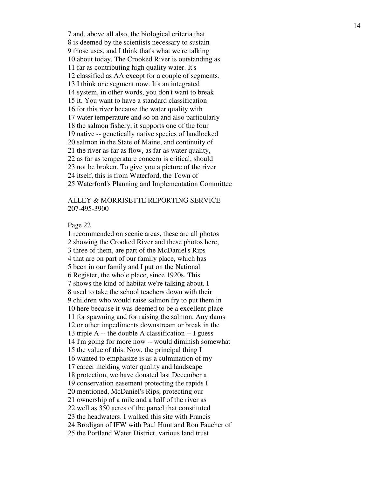7 and, above all also, the biological criteria that 8 is deemed by the scientists necessary to sustain 9 those uses, and I think that's what we're talking 10 about today. The Crooked River is outstanding as 11 far as contributing high quality water. It's 12 classified as AA except for a couple of segments. 13 I think one segment now. It's an integrated 14 system, in other words, you don't want to break 15 it. You want to have a standard classification 16 for this river because the water quality with 17 water temperature and so on and also particularly 18 the salmon fishery, it supports one of the four 19 native -- genetically native species of landlocked 20 salmon in the State of Maine, and continuity of 21 the river as far as flow, as far as water quality, 22 as far as temperature concern is critical, should 23 not be broken. To give you a picture of the river 24 itself, this is from Waterford, the Town of 25 Waterford's Planning and Implementation Committee

## ALLEY & MORRISETTE REPORTING SERVICE 207-495-3900

#### Page 22

1 recommended on scenic areas, these are all photos 2 showing the Crooked River and these photos here, 3 three of them, are part of the McDaniel's Rips 4 that are on part of our family place, which has 5 been in our family and I put on the National 6 Register, the whole place, since 1920s. This 7 shows the kind of habitat we're talking about. I 8 used to take the school teachers down with their 9 children who would raise salmon fry to put them in 10 here because it was deemed to be a excellent place 11 for spawning and for raising the salmon. Any dams 12 or other impediments downstream or break in the 13 triple A -- the double A classification -- I guess 14 I'm going for more now -- would diminish somewhat 15 the value of this. Now, the principal thing I 16 wanted to emphasize is as a culmination of my 17 career melding water quality and landscape 18 protection, we have donated last December a 19 conservation easement protecting the rapids I 20 mentioned, McDaniel's Rips, protecting our 21 ownership of a mile and a half of the river as 22 well as 350 acres of the parcel that constituted 23 the headwaters. I walked this site with Francis 24 Brodigan of IFW with Paul Hunt and Ron Faucher of 25 the Portland Water District, various land trust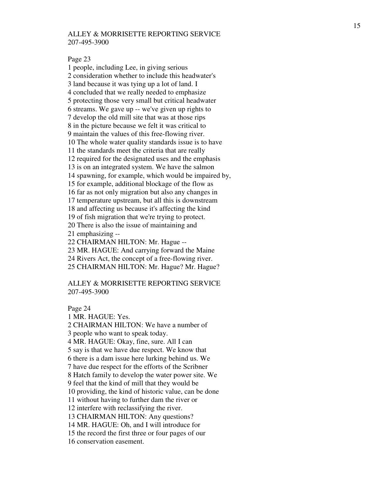Page 23

1 people, including Lee, in giving serious 2 consideration whether to include this headwater's 3 land because it was tying up a lot of land. I 4 concluded that we really needed to emphasize 5 protecting those very small but critical headwater 6 streams. We gave up -- we've given up rights to 7 develop the old mill site that was at those rips 8 in the picture because we felt it was critical to 9 maintain the values of this free-flowing river. 10 The whole water quality standards issue is to have 11 the standards meet the criteria that are really 12 required for the designated uses and the emphasis 13 is on an integrated system. We have the salmon 14 spawning, for example, which would be impaired by, 15 for example, additional blockage of the flow as 16 far as not only migration but also any changes in 17 temperature upstream, but all this is downstream 18 and affecting us because it's affecting the kind 19 of fish migration that we're trying to protect. 20 There is also the issue of maintaining and 21 emphasizing -- 22 CHAIRMAN HILTON: Mr. Hague -- 23 MR. HAGUE: And carrying forward the Maine 24 Rivers Act, the concept of a free-flowing river.

25 CHAIRMAN HILTON: Mr. Hague? Mr. Hague?

### ALLEY & MORRISETTE REPORTING SERVICE 207-495-3900

Page 24

1 MR. HAGUE: Yes. 2 CHAIRMAN HILTON: We have a number of 3 people who want to speak today. 4 MR. HAGUE: Okay, fine, sure. All I can 5 say is that we have due respect. We know that 6 there is a dam issue here lurking behind us. We 7 have due respect for the efforts of the Scribner 8 Hatch family to develop the water power site. We 9 feel that the kind of mill that they would be 10 providing, the kind of historic value, can be done 11 without having to further dam the river or 12 interfere with reclassifying the river. 13 CHAIRMAN HILTON: Any questions? 14 MR. HAGUE: Oh, and I will introduce for 15 the record the first three or four pages of our 16 conservation easement.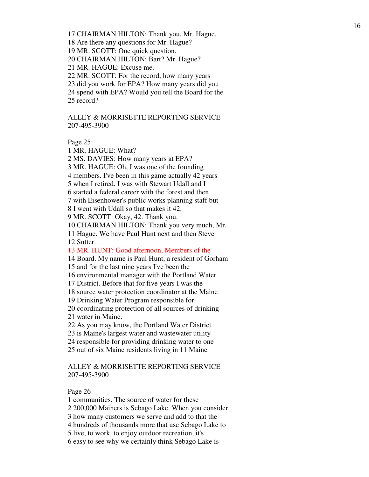17 CHAIRMAN HILTON: Thank you, Mr. Hague.

18 Are there any questions for Mr. Hague?

19 MR. SCOTT: One quick question.

20 CHAIRMAN HILTON: Bart? Mr. Hague?

21 MR. HAGUE: Excuse me.

22 MR. SCOTT: For the record, how many years

23 did you work for EPA? How many years did you

24 spend with EPA? Would you tell the Board for the 25 record?

ALLEY & MORRISETTE REPORTING SERVICE 207-495-3900

Page 25

1 MR. HAGUE: What?

2 MS. DAVIES: How many years at EPA?

3 MR. HAGUE: Oh, I was one of the founding

4 members. I've been in this game actually 42 years

5 when I retired. I was with Stewart Udall and I

6 started a federal career with the forest and then

7 with Eisenhower's public works planning staff but

8 I went with Udall so that makes it 42.

9 MR. SCOTT: Okay, 42. Thank you.

10 CHAIRMAN HILTON: Thank you very much, Mr.

11 Hague. We have Paul Hunt next and then Steve 12 Sutter.

13 MR. HUNT: Good afternoon, Members of the

14 Board. My name is Paul Hunt, a resident of Gorham

15 and for the last nine years I've been the

16 environmental manager with the Portland Water

17 District. Before that for five years I was the

18 source water protection coordinator at the Maine

19 Drinking Water Program responsible for

20 coordinating protection of all sources of drinking

21 water in Maine.

22 As you may know, the Portland Water District

23 is Maine's largest water and wastewater utility

24 responsible for providing drinking water to one

25 out of six Maine residents living in 11 Maine

# ALLEY & MORRISETTE REPORTING SERVICE 207-495-3900

Page 26

1 communities. The source of water for these

2 200,000 Mainers is Sebago Lake. When you consider

3 how many customers we serve and add to that the

4 hundreds of thousands more that use Sebago Lake to

5 live, to work, to enjoy outdoor recreation, it's

6 easy to see why we certainly think Sebago Lake is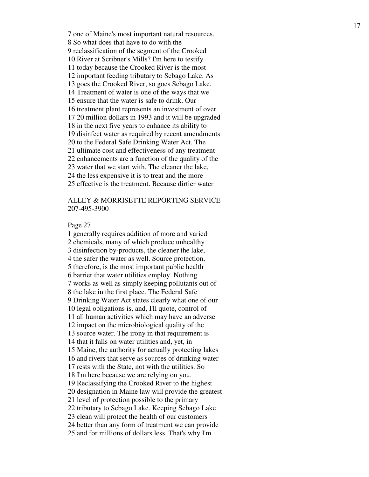7 one of Maine's most important natural resources. 8 So what does that have to do with the 9 reclassification of the segment of the Crooked 10 River at Scribner's Mills? I'm here to testify 11 today because the Crooked River is the most 12 important feeding tributary to Sebago Lake. As 13 goes the Crooked River, so goes Sebago Lake. 14 Treatment of water is one of the ways that we 15 ensure that the water is safe to drink. Our 16 treatment plant represents an investment of over 17 20 million dollars in 1993 and it will be upgraded 18 in the next five years to enhance its ability to 19 disinfect water as required by recent amendments 20 to the Federal Safe Drinking Water Act. The 21 ultimate cost and effectiveness of any treatment 22 enhancements are a function of the quality of the 23 water that we start with. The cleaner the lake, 24 the less expensive it is to treat and the more 25 effective is the treatment. Because dirtier water

# ALLEY & MORRISETTE REPORTING SERVICE 207-495-3900

#### Page 27

1 generally requires addition of more and varied 2 chemicals, many of which produce unhealthy 3 disinfection by-products, the cleaner the lake, 4 the safer the water as well. Source protection, 5 therefore, is the most important public health 6 barrier that water utilities employ. Nothing 7 works as well as simply keeping pollutants out of 8 the lake in the first place. The Federal Safe 9 Drinking Water Act states clearly what one of our 10 legal obligations is, and, I'll quote, control of 11 all human activities which may have an adverse 12 impact on the microbiological quality of the 13 source water. The irony in that requirement is 14 that it falls on water utilities and, yet, in 15 Maine, the authority for actually protecting lakes 16 and rivers that serve as sources of drinking water 17 rests with the State, not with the utilities. So 18 I'm here because we are relying on you. 19 Reclassifying the Crooked River to the highest 20 designation in Maine law will provide the greatest 21 level of protection possible to the primary 22 tributary to Sebago Lake. Keeping Sebago Lake 23 clean will protect the health of our customers 24 better than any form of treatment we can provide 25 and for millions of dollars less. That's why I'm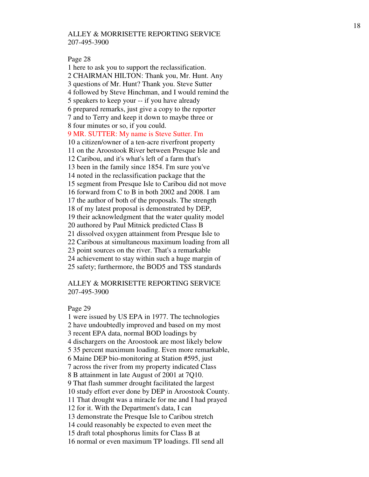#### Page 28

1 here to ask you to support the reclassification. 2 CHAIRMAN HILTON: Thank you, Mr. Hunt. Any 3 questions of Mr. Hunt? Thank you. Steve Sutter 4 followed by Steve Hinchman, and I would remind the 5 speakers to keep your -- if you have already 6 prepared remarks, just give a copy to the reporter 7 and to Terry and keep it down to maybe three or 8 four minutes or so, if you could. 9 MR. SUTTER: My name is Steve Sutter. I'm 10 a citizen/owner of a ten-acre riverfront property 11 on the Aroostook River between Presque Isle and 12 Caribou, and it's what's left of a farm that's 13 been in the family since 1854. I'm sure you've 14 noted in the reclassification package that the 15 segment from Presque Isle to Caribou did not move 16 forward from C to B in both 2002 and 2008. I am 17 the author of both of the proposals. The strength 18 of my latest proposal is demonstrated by DEP, 19 their acknowledgment that the water quality model 20 authored by Paul Mitnick predicted Class B 21 dissolved oxygen attainment from Presque Isle to 22 Caribous at simultaneous maximum loading from all 23 point sources on the river. That's a remarkable 24 achievement to stay within such a huge margin of 25 safety; furthermore, the BOD5 and TSS standards

# ALLEY & MORRISETTE REPORTING SERVICE 207-495-3900

#### Page 29

1 were issued by US EPA in 1977. The technologies 2 have undoubtedly improved and based on my most 3 recent EPA data, normal BOD loadings by 4 dischargers on the Aroostook are most likely below 5 35 percent maximum loading. Even more remarkable, 6 Maine DEP bio-monitoring at Station #595, just 7 across the river from my property indicated Class 8 B attainment in late August of 2001 at 7Q10. 9 That flash summer drought facilitated the largest 10 study effort ever done by DEP in Aroostook County. 11 That drought was a miracle for me and I had prayed 12 for it. With the Department's data, I can 13 demonstrate the Presque Isle to Caribou stretch 14 could reasonably be expected to even meet the 15 draft total phosphorus limits for Class B at 16 normal or even maximum TP loadings. I'll send all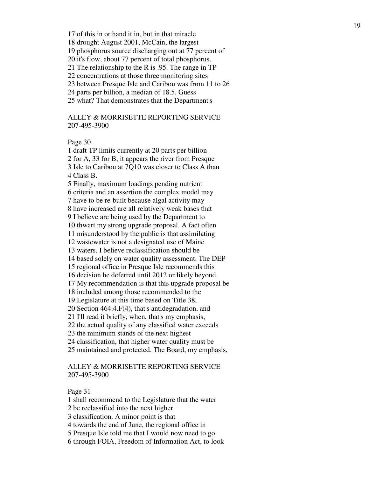17 of this in or hand it in, but in that miracle

18 drought August 2001, McCain, the largest

19 phosphorus source discharging out at 77 percent of

20 it's flow, about 77 percent of total phosphorus.

21 The relationship to the R is .95. The range in TP

22 concentrations at those three monitoring sites

23 between Presque Isle and Caribou was from 11 to 26

24 parts per billion, a median of 18.5. Guess

25 what? That demonstrates that the Department's

# ALLEY & MORRISETTE REPORTING SERVICE 207-495-3900

Page 30

1 draft TP limits currently at 20 parts per billion 2 for A, 33 for B, it appears the river from Presque 3 Isle to Caribou at 7Q10 was closer to Class A than 4 Class B. 5 Finally, maximum loadings pending nutrient

6 criteria and an assertion the complex model may

7 have to be re-built because algal activity may

8 have increased are all relatively weak bases that

9 I believe are being used by the Department to

10 thwart my strong upgrade proposal. A fact often

11 misunderstood by the public is that assimilating

12 wastewater is not a designated use of Maine

13 waters. I believe reclassification should be

14 based solely on water quality assessment. The DEP

15 regional office in Presque Isle recommends this

16 decision be deferred until 2012 or likely beyond.

17 My recommendation is that this upgrade proposal be

18 included among those recommended to the

19 Legislature at this time based on Title 38,

20 Section 464.4.F(4), that's antidegradation, and

21 I'll read it briefly, when, that's my emphasis,

22 the actual quality of any classified water exceeds

23 the minimum stands of the next highest

24 classification, that higher water quality must be

25 maintained and protected. The Board, my emphasis,

## ALLEY & MORRISETTE REPORTING SERVICE 207-495-3900

Page 31

1 shall recommend to the Legislature that the water

2 be reclassified into the next higher

3 classification. A minor point is that

4 towards the end of June, the regional office in

5 Presque Isle told me that I would now need to go

6 through FOIA, Freedom of Information Act, to look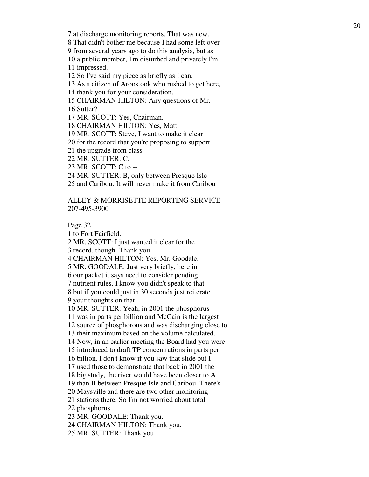7 at discharge monitoring reports. That was new.

8 That didn't bother me because I had some left over

9 from several years ago to do this analysis, but as

10 a public member, I'm disturbed and privately I'm 11 impressed.

12 So I've said my piece as briefly as I can.

13 As a citizen of Aroostook who rushed to get here,

14 thank you for your consideration.

15 CHAIRMAN HILTON: Any questions of Mr.

16 Sutter?

17 MR. SCOTT: Yes, Chairman.

18 CHAIRMAN HILTON: Yes, Matt.

19 MR. SCOTT: Steve, I want to make it clear

20 for the record that you're proposing to support

21 the upgrade from class --

22 MR. SUTTER: C.

23 MR. SCOTT: C to --

24 MR. SUTTER: B, only between Presque Isle

25 and Caribou. It will never make it from Caribou

ALLEY & MORRISETTE REPORTING SERVICE 207-495-3900

Page 32

1 to Fort Fairfield.

2 MR. SCOTT: I just wanted it clear for the 3 record, though. Thank you.

4 CHAIRMAN HILTON: Yes, Mr. Goodale.

5 MR. GOODALE: Just very briefly, here in

6 our packet it says need to consider pending

7 nutrient rules. I know you didn't speak to that

8 but if you could just in 30 seconds just reiterate 9 your thoughts on that.

10 MR. SUTTER: Yeah, in 2001 the phosphorus

11 was in parts per billion and McCain is the largest

12 source of phosphorous and was discharging close to

13 their maximum based on the volume calculated.

14 Now, in an earlier meeting the Board had you were

15 introduced to draft TP concentrations in parts per

16 billion. I don't know if you saw that slide but I

17 used those to demonstrate that back in 2001 the

18 big study, the river would have been closer to A

19 than B between Presque Isle and Caribou. There's

20 Maysville and there are two other monitoring

21 stations there. So I'm not worried about total

22 phosphorus.

23 MR. GOODALE: Thank you.

24 CHAIRMAN HILTON: Thank you.

25 MR. SUTTER: Thank you.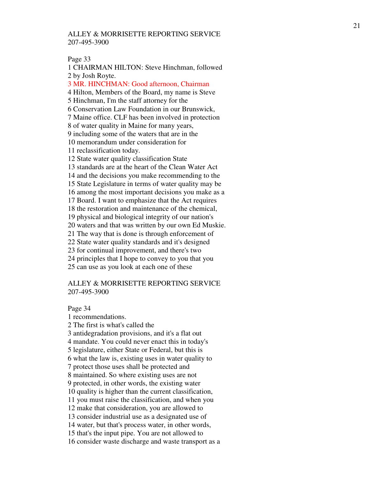#### Page 33

1 CHAIRMAN HILTON: Steve Hinchman, followed 2 by Josh Royte.

3 MR. HINCHMAN: Good afternoon, Chairman

4 Hilton, Members of the Board, my name is Steve

5 Hinchman, I'm the staff attorney for the

6 Conservation Law Foundation in our Brunswick,

7 Maine office. CLF has been involved in protection

8 of water quality in Maine for many years,

9 including some of the waters that are in the

10 memorandum under consideration for

11 reclassification today.

12 State water quality classification State

13 standards are at the heart of the Clean Water Act

14 and the decisions you make recommending to the

15 State Legislature in terms of water quality may be

16 among the most important decisions you make as a

17 Board. I want to emphasize that the Act requires

18 the restoration and maintenance of the chemical,

19 physical and biological integrity of our nation's

20 waters and that was written by our own Ed Muskie.

21 The way that is done is through enforcement of

22 State water quality standards and it's designed

23 for continual improvement, and there's two

24 principles that I hope to convey to you that you

25 can use as you look at each one of these

### ALLEY & MORRISETTE REPORTING SERVICE 207-495-3900

Page 34

1 recommendations. 2 The first is what's called the 3 antidegradation provisions, and it's a flat out 4 mandate. You could never enact this in today's 5 legislature, either State or Federal, but this is 6 what the law is, existing uses in water quality to 7 protect those uses shall be protected and 8 maintained. So where existing uses are not 9 protected, in other words, the existing water 10 quality is higher than the current classification, 11 you must raise the classification, and when you 12 make that consideration, you are allowed to 13 consider industrial use as a designated use of 14 water, but that's process water, in other words, 15 that's the input pipe. You are not allowed to 16 consider waste discharge and waste transport as a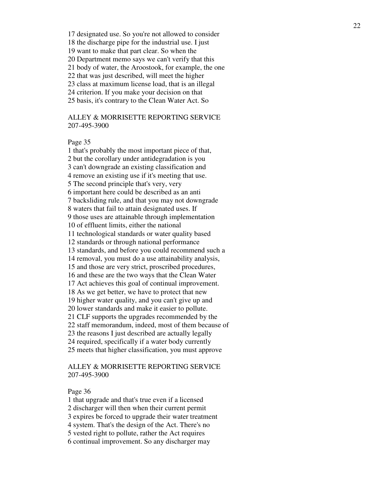17 designated use. So you're not allowed to consider

18 the discharge pipe for the industrial use. I just

19 want to make that part clear. So when the

20 Department memo says we can't verify that this

21 body of water, the Aroostook, for example, the one

22 that was just described, will meet the higher

23 class at maximum license load, that is an illegal

24 criterion. If you make your decision on that

25 basis, it's contrary to the Clean Water Act. So

# ALLEY & MORRISETTE REPORTING SERVICE 207-495-3900

### Page 35

1 that's probably the most important piece of that, 2 but the corollary under antidegradation is you 3 can't downgrade an existing classification and 4 remove an existing use if it's meeting that use. 5 The second principle that's very, very 6 important here could be described as an anti 7 backsliding rule, and that you may not downgrade 8 waters that fail to attain designated uses. If 9 those uses are attainable through implementation 10 of effluent limits, either the national 11 technological standards or water quality based 12 standards or through national performance 13 standards, and before you could recommend such a 14 removal, you must do a use attainability analysis, 15 and those are very strict, proscribed procedures, 16 and these are the two ways that the Clean Water 17 Act achieves this goal of continual improvement. 18 As we get better, we have to protect that new 19 higher water quality, and you can't give up and 20 lower standards and make it easier to pollute. 21 CLF supports the upgrades recommended by the 22 staff memorandum, indeed, most of them because of 23 the reasons I just described are actually legally 24 required, specifically if a water body currently 25 meets that higher classification, you must approve

# ALLEY & MORRISETTE REPORTING SERVICE 207-495-3900

### Page 36

1 that upgrade and that's true even if a licensed

2 discharger will then when their current permit

3 expires be forced to upgrade their water treatment

4 system. That's the design of the Act. There's no

5 vested right to pollute, rather the Act requires

6 continual improvement. So any discharger may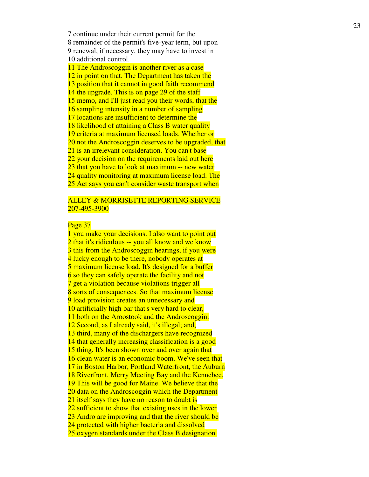7 continue under their current permit for the 8 remainder of the permit's five-year term, but upon 9 renewal, if necessary, they may have to invest in 10 additional control.

11 The Androscoggin is another river as a case 12 in point on that. The Department has taken the 13 position that it cannot in good faith recommend 14 the upgrade. This is on page 29 of the staff 15 memo, and I'll just read you their words, that the 16 sampling intensity in a number of sampling 17 locations are insufficient to determine the 18 likelihood of attaining a Class B water quality 19 criteria at maximum licensed loads. Whether or 20 not the Androscoggin deserves to be upgraded, that 21 is an irrelevant consideration. You can't base 22 your decision on the requirements laid out here 23 that you have to look at maximum -- new water 24 quality monitoring at maximum license load. The 25 Act says you can't consider waste transport when

# **ALLEY & MORRISETTE REPORTING SERVICE** 207-495-3900

### Page 37

1 you make your decisions. I also want to point out 2 that it's ridiculous -- you all know and we know 3 this from the Androscoggin hearings, if you were 4 lucky enough to be there, nobody operates at 5 maximum license load. It's designed for a buffer 6 so they can safely operate the facility and not 7 get a violation because violations trigger all 8 sorts of consequences. So that maximum license 9 load provision creates an unnecessary and 10 artificially high bar that's very hard to clear, 11 both on the Aroostook and the Androscoggin. 12 Second, as I already said, it's illegal; and, 13 third, many of the dischargers have recognized 14 that generally increasing classification is a good 15 thing. It's been shown over and over again that 16 clean water is an economic boom. We've seen that 17 in Boston Harbor, Portland Waterfront, the Auburn 18 Riverfront, Merry Meeting Bay and the Kennebec. 19 This will be good for Maine. We believe that the 20 data on the Androscoggin which the Department 21 itself says they have no reason to doubt is 22 sufficient to show that existing uses in the lower 23 Andro are improving and that the river should be 24 protected with higher bacteria and dissolved 25 oxygen standards under the Class B designation.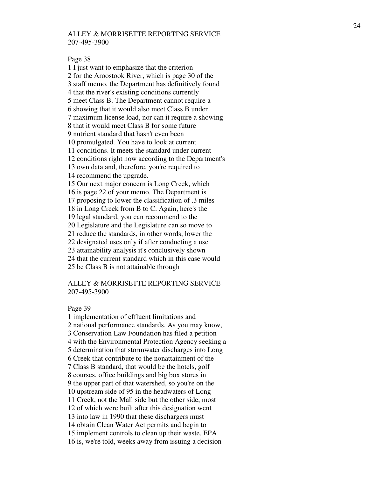#### Page 38

1 I just want to emphasize that the criterion 2 for the Aroostook River, which is page 30 of the 3 staff memo, the Department has definitively found 4 that the river's existing conditions currently 5 meet Class B. The Department cannot require a 6 showing that it would also meet Class B under 7 maximum license load, nor can it require a showing 8 that it would meet Class B for some future 9 nutrient standard that hasn't even been 10 promulgated. You have to look at current 11 conditions. It meets the standard under current 12 conditions right now according to the Department's 13 own data and, therefore, you're required to 14 recommend the upgrade. 15 Our next major concern is Long Creek, which 16 is page 22 of your memo. The Department is 17 proposing to lower the classification of .3 miles 18 in Long Creek from B to C. Again, here's the 19 legal standard, you can recommend to the 20 Legislature and the Legislature can so move to 21 reduce the standards, in other words, lower the 22 designated uses only if after conducting a use 23 attainability analysis it's conclusively shown 24 that the current standard which in this case would 25 be Class B is not attainable through

## ALLEY & MORRISETTE REPORTING SERVICE 207-495-3900

#### Page 39

1 implementation of effluent limitations and 2 national performance standards. As you may know, 3 Conservation Law Foundation has filed a petition 4 with the Environmental Protection Agency seeking a 5 determination that stormwater discharges into Long 6 Creek that contribute to the nonattainment of the 7 Class B standard, that would be the hotels, golf 8 courses, office buildings and big box stores in 9 the upper part of that watershed, so you're on the 10 upstream side of 95 in the headwaters of Long 11 Creek, not the Mall side but the other side, most 12 of which were built after this designation went 13 into law in 1990 that these dischargers must 14 obtain Clean Water Act permits and begin to 15 implement controls to clean up their waste. EPA 16 is, we're told, weeks away from issuing a decision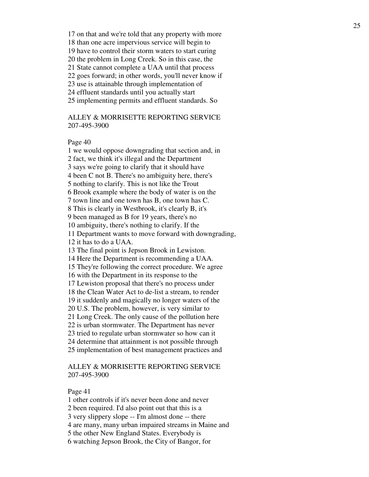17 on that and we're told that any property with more 18 than one acre impervious service will begin to 19 have to control their storm waters to start curing 20 the problem in Long Creek. So in this case, the 21 State cannot complete a UAA until that process 22 goes forward; in other words, you'll never know if 23 use is attainable through implementation of 24 effluent standards until you actually start 25 implementing permits and effluent standards. So

ALLEY & MORRISETTE REPORTING SERVICE 207-495-3900

### Page 40

1 we would oppose downgrading that section and, in 2 fact, we think it's illegal and the Department 3 says we're going to clarify that it should have 4 been C not B. There's no ambiguity here, there's 5 nothing to clarify. This is not like the Trout 6 Brook example where the body of water is on the 7 town line and one town has B, one town has C. 8 This is clearly in Westbrook, it's clearly B, it's 9 been managed as B for 19 years, there's no 10 ambiguity, there's nothing to clarify. If the 11 Department wants to move forward with downgrading, 12 it has to do a UAA. 13 The final point is Jepson Brook in Lewiston. 14 Here the Department is recommending a UAA. 15 They're following the correct procedure. We agree 16 with the Department in its response to the 17 Lewiston proposal that there's no process under 18 the Clean Water Act to de-list a stream, to render 19 it suddenly and magically no longer waters of the 20 U.S. The problem, however, is very similar to 21 Long Creek. The only cause of the pollution here 22 is urban stormwater. The Department has never 23 tried to regulate urban stormwater so how can it 24 determine that attainment is not possible through 25 implementation of best management practices and

# ALLEY & MORRISETTE REPORTING SERVICE 207-495-3900

Page 41

1 other controls if it's never been done and never

2 been required. I'd also point out that this is a

3 very slippery slope -- I'm almost done -- there

4 are many, many urban impaired streams in Maine and

5 the other New England States. Everybody is

6 watching Jepson Brook, the City of Bangor, for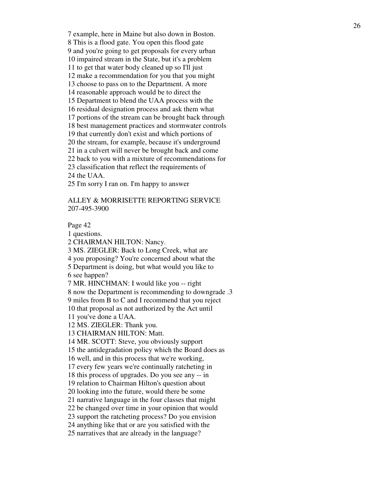7 example, here in Maine but also down in Boston. 8 This is a flood gate. You open this flood gate 9 and you're going to get proposals for every urban 10 impaired stream in the State, but it's a problem 11 to get that water body cleaned up so I'll just 12 make a recommendation for you that you might 13 choose to pass on to the Department. A more 14 reasonable approach would be to direct the 15 Department to blend the UAA process with the 16 residual designation process and ask them what 17 portions of the stream can be brought back through 18 best management practices and stormwater controls 19 that currently don't exist and which portions of 20 the stream, for example, because it's underground 21 in a culvert will never be brought back and come 22 back to you with a mixture of recommendations for 23 classification that reflect the requirements of 24 the UAA. 25 I'm sorry I ran on. I'm happy to answer

## ALLEY & MORRISETTE REPORTING SERVICE 207-495-3900

Page 42

1 questions.

2 CHAIRMAN HILTON: Nancy.

3 MS. ZIEGLER: Back to Long Creek, what are

4 you proposing? You're concerned about what the

5 Department is doing, but what would you like to 6 see happen?

7 MR. HINCHMAN: I would like you -- right

8 now the Department is recommending to downgrade .3

9 miles from B to C and I recommend that you reject

10 that proposal as not authorized by the Act until

11 you've done a UAA.

12 MS. ZIEGLER: Thank you.

13 CHAIRMAN HILTON: Matt.

14 MR. SCOTT: Steve, you obviously support

15 the antidegradation policy which the Board does as

16 well, and in this process that we're working,

17 every few years we're continually ratcheting in

18 this process of upgrades. Do you see any -- in

19 relation to Chairman Hilton's question about

20 looking into the future, would there be some

21 narrative language in the four classes that might

22 be changed over time in your opinion that would

23 support the ratcheting process? Do you envision

24 anything like that or are you satisfied with the

25 narratives that are already in the language?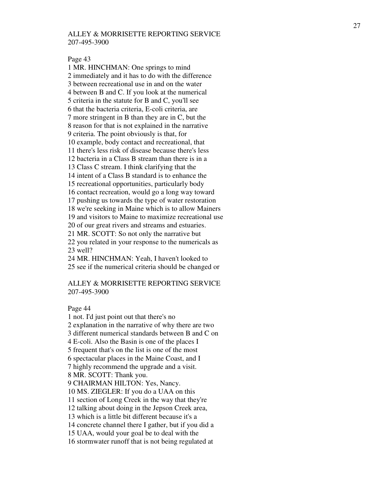#### Page 43

1 MR. HINCHMAN: One springs to mind 2 immediately and it has to do with the difference 3 between recreational use in and on the water 4 between B and C. If you look at the numerical 5 criteria in the statute for B and C, you'll see 6 that the bacteria criteria, E-coli criteria, are 7 more stringent in B than they are in C, but the 8 reason for that is not explained in the narrative 9 criteria. The point obviously is that, for 10 example, body contact and recreational, that 11 there's less risk of disease because there's less 12 bacteria in a Class B stream than there is in a 13 Class C stream. I think clarifying that the 14 intent of a Class B standard is to enhance the 15 recreational opportunities, particularly body 16 contact recreation, would go a long way toward 17 pushing us towards the type of water restoration 18 we're seeking in Maine which is to allow Mainers 19 and visitors to Maine to maximize recreational use 20 of our great rivers and streams and estuaries. 21 MR. SCOTT: So not only the narrative but 22 you related in your response to the numericals as 23 well? 24 MR. HINCHMAN: Yeah, I haven't looked to 25 see if the numerical criteria should be changed or

### ALLEY & MORRISETTE REPORTING SERVICE 207-495-3900

Page 44

1 not. I'd just point out that there's no 2 explanation in the narrative of why there are two 3 different numerical standards between B and C on 4 E-coli. Also the Basin is one of the places I 5 frequent that's on the list is one of the most 6 spectacular places in the Maine Coast, and I 7 highly recommend the upgrade and a visit. 8 MR. SCOTT: Thank you. 9 CHAIRMAN HILTON: Yes, Nancy. 10 MS. ZIEGLER: If you do a UAA on this 11 section of Long Creek in the way that they're 12 talking about doing in the Jepson Creek area, 13 which is a little bit different because it's a 14 concrete channel there I gather, but if you did a 15 UAA, would your goal be to deal with the 16 stormwater runoff that is not being regulated at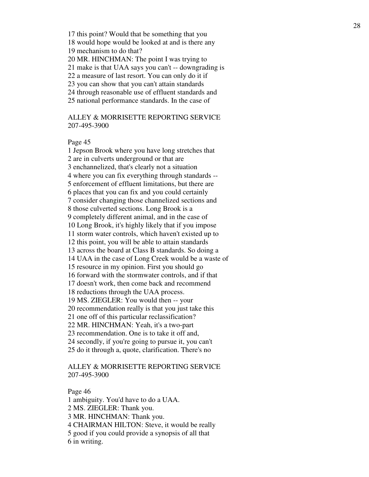17 this point? Would that be something that you

18 would hope would be looked at and is there any

19 mechanism to do that?

20 MR. HINCHMAN: The point I was trying to

21 make is that UAA says you can't -- downgrading is

22 a measure of last resort. You can only do it if

23 you can show that you can't attain standards

24 through reasonable use of effluent standards and

25 national performance standards. In the case of

ALLEY & MORRISETTE REPORTING SERVICE 207-495-3900

Page 45

1 Jepson Brook where you have long stretches that 2 are in culverts underground or that are 3 enchannelized, that's clearly not a situation 4 where you can fix everything through standards -- 5 enforcement of effluent limitations, but there are 6 places that you can fix and you could certainly 7 consider changing those channelized sections and 8 those culverted sections. Long Brook is a 9 completely different animal, and in the case of 10 Long Brook, it's highly likely that if you impose 11 storm water controls, which haven't existed up to 12 this point, you will be able to attain standards 13 across the board at Class B standards. So doing a 14 UAA in the case of Long Creek would be a waste of 15 resource in my opinion. First you should go 16 forward with the stormwater controls, and if that 17 doesn't work, then come back and recommend 18 reductions through the UAA process. 19 MS. ZIEGLER: You would then -- your 20 recommendation really is that you just take this 21 one off of this particular reclassification? 22 MR. HINCHMAN: Yeah, it's a two-part 23 recommendation. One is to take it off and, 24 secondly, if you're going to pursue it, you can't 25 do it through a, quote, clarification. There's no

# ALLEY & MORRISETTE REPORTING SERVICE 207-495-3900

Page 46

1 ambiguity. You'd have to do a UAA.

2 MS. ZIEGLER: Thank you.

3 MR. HINCHMAN: Thank you.

4 CHAIRMAN HILTON: Steve, it would be really

5 good if you could provide a synopsis of all that

6 in writing.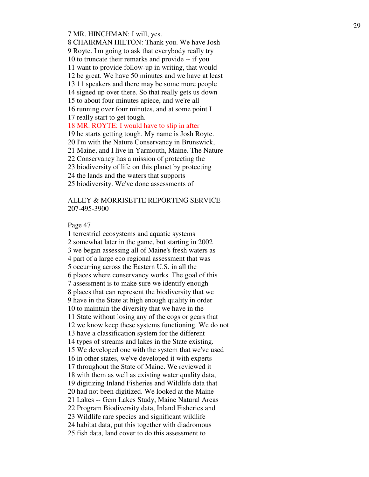#### 7 MR. HINCHMAN: I will, yes.

8 CHAIRMAN HILTON: Thank you. We have Josh 9 Royte. I'm going to ask that everybody really try 10 to truncate their remarks and provide -- if you 11 want to provide follow-up in writing, that would 12 be great. We have 50 minutes and we have at least 13 11 speakers and there may be some more people 14 signed up over there. So that really gets us down 15 to about four minutes apiece, and we're all 16 running over four minutes, and at some point I 17 really start to get tough. 18 MR. ROYTE: I would have to slip in after 19 he starts getting tough. My name is Josh Royte. 20 I'm with the Nature Conservancy in Brunswick,

21 Maine, and I live in Yarmouth, Maine. The Nature

22 Conservancy has a mission of protecting the

23 biodiversity of life on this planet by protecting

24 the lands and the waters that supports

25 biodiversity. We've done assessments of

# ALLEY & MORRISETTE REPORTING SERVICE 207-495-3900

Page 47

1 terrestrial ecosystems and aquatic systems 2 somewhat later in the game, but starting in 2002 3 we began assessing all of Maine's fresh waters as 4 part of a large eco regional assessment that was 5 occurring across the Eastern U.S. in all the 6 places where conservancy works. The goal of this 7 assessment is to make sure we identify enough 8 places that can represent the biodiversity that we 9 have in the State at high enough quality in order 10 to maintain the diversity that we have in the 11 State without losing any of the cogs or gears that 12 we know keep these systems functioning. We do not 13 have a classification system for the different 14 types of streams and lakes in the State existing. 15 We developed one with the system that we've used 16 in other states, we've developed it with experts 17 throughout the State of Maine. We reviewed it 18 with them as well as existing water quality data, 19 digitizing Inland Fisheries and Wildlife data that 20 had not been digitized. We looked at the Maine 21 Lakes -- Gem Lakes Study, Maine Natural Areas 22 Program Biodiversity data, Inland Fisheries and 23 Wildlife rare species and significant wildlife 24 habitat data, put this together with diadromous 25 fish data, land cover to do this assessment to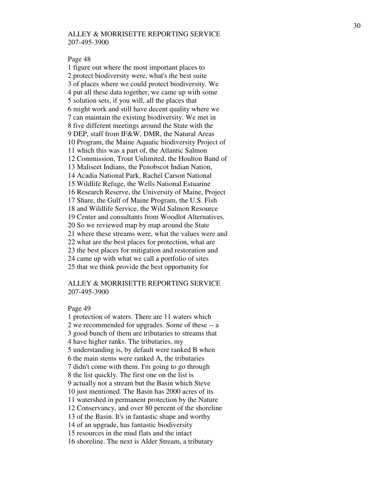#### Page 48

1 figure out where the most important places to 2 protect biodiversity were, what's the best suite 3 of places where we could protect biodiversity. We 4 put all these data together, we came up with some 5 solution sets, if you will, all the places that 6 might work and still have decent quality where we 7 can maintain the existing biodiversity. We met in 8 five different meetings around the State with the 9 DEP, staff from IF&W, DMR, the Natural Areas 10 Program, the Maine Aquatic biodiversity Project of 11 which this was a part of, the Atlantic Salmon 12 Commission, Trout Unlimited, the Houlton Band of 13 Maliseet Indians, the Penobscot Indian Nation, 14 Acadia National Park, Rachel Carson National 15 Wildlife Refuge, the Wells National Estuarine 16 Research Reserve, the University of Maine, Project 17 Share, the Gulf of Maine Program, the U.S. Fish 18 and Wildlife Service, the Wild Salmon Resource 19 Center and consultants from Woodlot Alternatives. 20 So we reviewed map by map around the State 21 where these streams were, what the values were and 22 what are the best places for protection, what are 23 the best places for mitigation and restoration and 24 came up with what we call a portfolio of sites 25 that we think provide the best opportunity for

## ALLEY & MORRISETTE REPORTING SERVICE 207-495-3900

#### Page 49

1 protection of waters. There are 11 waters which 2 we recommended for upgrades. Some of these -- a 3 good bunch of them are tributaries to streams that 4 have higher ranks. The tributaries, my 5 understanding is, by default were ranked B when 6 the main stems were ranked A, the tributaries 7 didn't come with them. I'm going to go through 8 the list quickly. The first one on the list is 9 actually not a stream but the Basin which Steve 10 just mentioned. The Basin has 2000 acres of its 11 watershed in permanent protection by the Nature 12 Conservancy, and over 80 percent of the shoreline 13 of the Basin. It's in fantastic shape and worthy 14 of an upgrade, has fantastic biodiversity 15 resources in the mud flats and the intact 16 shoreline. The next is Alder Stream, a tributary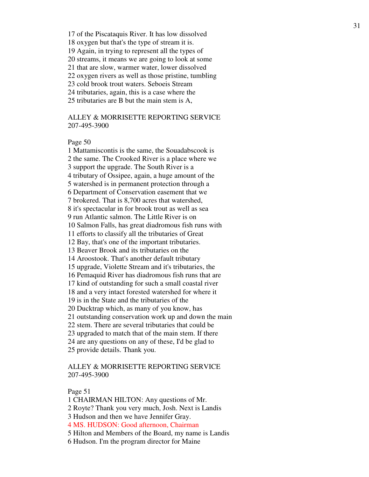17 of the Piscataquis River. It has low dissolved

18 oxygen but that's the type of stream it is.

19 Again, in trying to represent all the types of

20 streams, it means we are going to look at some

21 that are slow, warmer water, lower dissolved

22 oxygen rivers as well as those pristine, tumbling

23 cold brook trout waters. Seboeis Stream

24 tributaries, again, this is a case where the

25 tributaries are B but the main stem is A,

# ALLEY & MORRISETTE REPORTING SERVICE 207-495-3900

### Page 50

1 Mattamiscontis is the same, the Souadabscook is 2 the same. The Crooked River is a place where we 3 support the upgrade. The South River is a 4 tributary of Ossipee, again, a huge amount of the 5 watershed is in permanent protection through a 6 Department of Conservation easement that we 7 brokered. That is 8,700 acres that watershed, 8 it's spectacular in for brook trout as well as sea 9 run Atlantic salmon. The Little River is on 10 Salmon Falls, has great diadromous fish runs with 11 efforts to classify all the tributaries of Great 12 Bay, that's one of the important tributaries. 13 Beaver Brook and its tributaries on the 14 Aroostook. That's another default tributary 15 upgrade, Violette Stream and it's tributaries, the 16 Pemaquid River has diadromous fish runs that are 17 kind of outstanding for such a small coastal river 18 and a very intact forested watershed for where it 19 is in the State and the tributaries of the 20 Ducktrap which, as many of you know, has 21 outstanding conservation work up and down the main 22 stem. There are several tributaries that could be 23 upgraded to match that of the main stem. If there 24 are any questions on any of these, I'd be glad to 25 provide details. Thank you.

# ALLEY & MORRISETTE REPORTING SERVICE 207-495-3900

#### Page 51

1 CHAIRMAN HILTON: Any questions of Mr.

2 Royte? Thank you very much, Josh. Next is Landis

3 Hudson and then we have Jennifer Gray.

4 MS. HUDSON: Good afternoon, Chairman

5 Hilton and Members of the Board, my name is Landis

6 Hudson. I'm the program director for Maine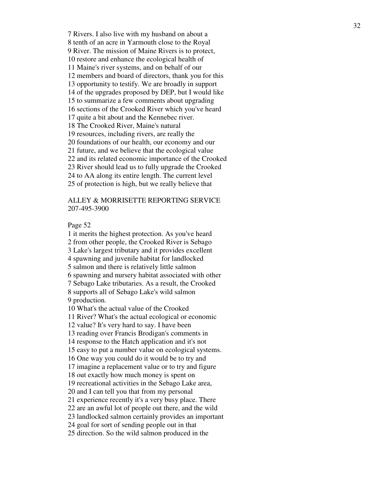7 Rivers. I also live with my husband on about a 8 tenth of an acre in Yarmouth close to the Royal 9 River. The mission of Maine Rivers is to protect, 10 restore and enhance the ecological health of 11 Maine's river systems, and on behalf of our 12 members and board of directors, thank you for this 13 opportunity to testify. We are broadly in support 14 of the upgrades proposed by DEP, but I would like 15 to summarize a few comments about upgrading 16 sections of the Crooked River which you've heard 17 quite a bit about and the Kennebec river. 18 The Crooked River, Maine's natural 19 resources, including rivers, are really the 20 foundations of our health, our economy and our 21 future, and we believe that the ecological value 22 and its related economic importance of the Crooked 23 River should lead us to fully upgrade the Crooked 24 to AA along its entire length. The current level 25 of protection is high, but we really believe that

# ALLEY & MORRISETTE REPORTING SERVICE 207-495-3900

Page 52

1 it merits the highest protection. As you've heard 2 from other people, the Crooked River is Sebago 3 Lake's largest tributary and it provides excellent 4 spawning and juvenile habitat for landlocked 5 salmon and there is relatively little salmon 6 spawning and nursery habitat associated with other 7 Sebago Lake tributaries. As a result, the Crooked 8 supports all of Sebago Lake's wild salmon 9 production. 10 What's the actual value of the Crooked 11 River? What's the actual ecological or economic 12 value? It's very hard to say. I have been 13 reading over Francis Brodigan's comments in 14 response to the Hatch application and it's not 15 easy to put a number value on ecological systems. 16 One way you could do it would be to try and 17 imagine a replacement value or to try and figure 18 out exactly how much money is spent on 19 recreational activities in the Sebago Lake area, 20 and I can tell you that from my personal 21 experience recently it's a very busy place. There 22 are an awful lot of people out there, and the wild 23 landlocked salmon certainly provides an important 24 goal for sort of sending people out in that 25 direction. So the wild salmon produced in the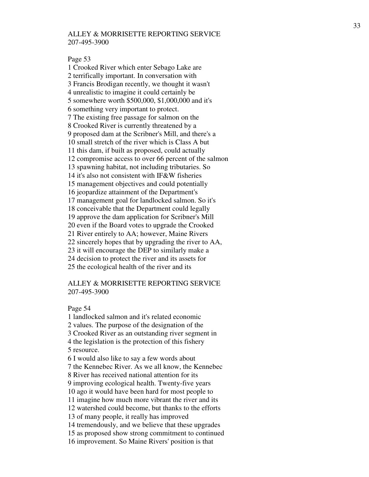#### Page 53

1 Crooked River which enter Sebago Lake are 2 terrifically important. In conversation with 3 Francis Brodigan recently, we thought it wasn't 4 unrealistic to imagine it could certainly be 5 somewhere worth \$500,000, \$1,000,000 and it's 6 something very important to protect. 7 The existing free passage for salmon on the 8 Crooked River is currently threatened by a 9 proposed dam at the Scribner's Mill, and there's a 10 small stretch of the river which is Class A but 11 this dam, if built as proposed, could actually 12 compromise access to over 66 percent of the salmon 13 spawning habitat, not including tributaries. So 14 it's also not consistent with IF&W fisheries 15 management objectives and could potentially 16 jeopardize attainment of the Department's 17 management goal for landlocked salmon. So it's 18 conceivable that the Department could legally 19 approve the dam application for Scribner's Mill 20 even if the Board votes to upgrade the Crooked 21 River entirely to AA; however, Maine Rivers 22 sincerely hopes that by upgrading the river to AA, 23 it will encourage the DEP to similarly make a 24 decision to protect the river and its assets for 25 the ecological health of the river and its

## ALLEY & MORRISETTE REPORTING SERVICE 207-495-3900

#### Page 54

1 landlocked salmon and it's related economic 2 values. The purpose of the designation of the 3 Crooked River as an outstanding river segment in 4 the legislation is the protection of this fishery 5 resource. 6 I would also like to say a few words about 7 the Kennebec River. As we all know, the Kennebec 8 River has received national attention for its 9 improving ecological health. Twenty-five years 10 ago it would have been hard for most people to 11 imagine how much more vibrant the river and its 12 watershed could become, but thanks to the efforts 13 of many people, it really has improved 14 tremendously, and we believe that these upgrades 15 as proposed show strong commitment to continued 16 improvement. So Maine Rivers' position is that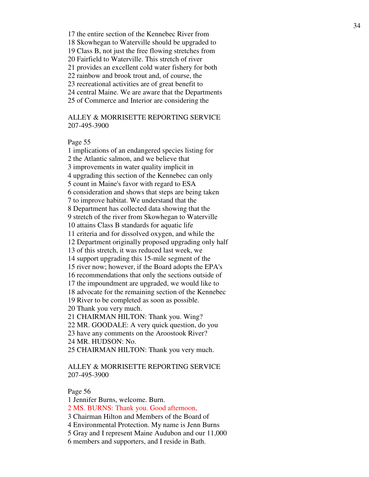17 the entire section of the Kennebec River from 18 Skowhegan to Waterville should be upgraded to 19 Class B, not just the free flowing stretches from 20 Fairfield to Waterville. This stretch of river 21 provides an excellent cold water fishery for both 22 rainbow and brook trout and, of course, the 23 recreational activities are of great benefit to 24 central Maine. We are aware that the Departments 25 of Commerce and Interior are considering the

ALLEY & MORRISETTE REPORTING SERVICE 207-495-3900

Page 55

1 implications of an endangered species listing for 2 the Atlantic salmon, and we believe that 3 improvements in water quality implicit in 4 upgrading this section of the Kennebec can only 5 count in Maine's favor with regard to ESA 6 consideration and shows that steps are being taken 7 to improve habitat. We understand that the 8 Department has collected data showing that the 9 stretch of the river from Skowhegan to Waterville 10 attains Class B standards for aquatic life 11 criteria and for dissolved oxygen, and while the 12 Department originally proposed upgrading only half 13 of this stretch, it was reduced last week, we 14 support upgrading this 15-mile segment of the 15 river now; however, if the Board adopts the EPA's 16 recommendations that only the sections outside of 17 the impoundment are upgraded, we would like to 18 advocate for the remaining section of the Kennebec 19 River to be completed as soon as possible. 20 Thank you very much. 21 CHAIRMAN HILTON: Thank you. Wing? 22 MR. GOODALE: A very quick question, do you 23 have any comments on the Aroostook River? 24 MR. HUDSON: No. 25 CHAIRMAN HILTON: Thank you very much.

# ALLEY & MORRISETTE REPORTING SERVICE 207-495-3900

Page 56

1 Jennifer Burns, welcome. Burn.

2 MS. BURNS: Thank you. Good afternoon,

3 Chairman Hilton and Members of the Board of

4 Environmental Protection. My name is Jenn Burns

5 Gray and I represent Maine Audubon and our 11,000

6 members and supporters, and I reside in Bath.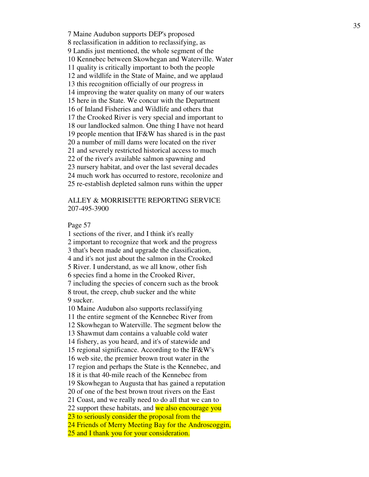7 Maine Audubon supports DEP's proposed 8 reclassification in addition to reclassifying, as 9 Landis just mentioned, the whole segment of the 10 Kennebec between Skowhegan and Waterville. Water 11 quality is critically important to both the people 12 and wildlife in the State of Maine, and we applaud 13 this recognition officially of our progress in 14 improving the water quality on many of our waters 15 here in the State. We concur with the Department 16 of Inland Fisheries and Wildlife and others that 17 the Crooked River is very special and important to 18 our landlocked salmon. One thing I have not heard 19 people mention that IF&W has shared is in the past 20 a number of mill dams were located on the river 21 and severely restricted historical access to much 22 of the river's available salmon spawning and 23 nursery habitat, and over the last several decades 24 much work has occurred to restore, recolonize and 25 re-establish depleted salmon runs within the upper

# ALLEY & MORRISETTE REPORTING SERVICE 207-495-3900

Page 57

1 sections of the river, and I think it's really 2 important to recognize that work and the progress 3 that's been made and upgrade the classification, 4 and it's not just about the salmon in the Crooked 5 River. I understand, as we all know, other fish 6 species find a home in the Crooked River, 7 including the species of concern such as the brook 8 trout, the creep, chub sucker and the white 9 sucker. 10 Maine Audubon also supports reclassifying 11 the entire segment of the Kennebec River from 12 Skowhegan to Waterville. The segment below the 13 Shawmut dam contains a valuable cold water 14 fishery, as you heard, and it's of statewide and 15 regional significance. According to the IF&W's 16 web site, the premier brown trout water in the 17 region and perhaps the State is the Kennebec, and 18 it is that 40-mile reach of the Kennebec from

19 Skowhegan to Augusta that has gained a reputation

20 of one of the best brown trout rivers on the East

21 Coast, and we really need to do all that we can to

22 support these habitats, and we also encourage you

23 to seriously consider the proposal from the

24 Friends of Merry Meeting Bay for the Androscoggin,

25 and I thank you for your consideration.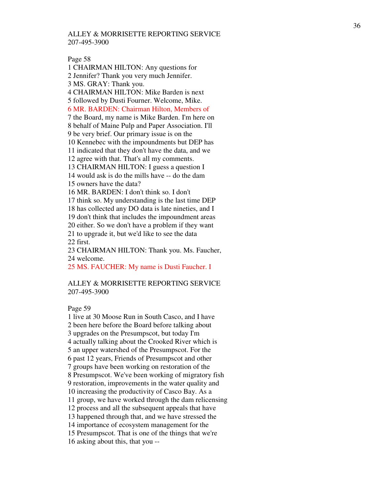Page 58

1 CHAIRMAN HILTON: Any questions for 2 Jennifer? Thank you very much Jennifer. 3 MS. GRAY: Thank you. 4 CHAIRMAN HILTON: Mike Barden is next 5 followed by Dusti Fourner. Welcome, Mike. 6 MR. BARDEN: Chairman Hilton, Members of 7 the Board, my name is Mike Barden. I'm here on 8 behalf of Maine Pulp and Paper Association. I'll 9 be very brief. Our primary issue is on the 10 Kennebec with the impoundments but DEP has 11 indicated that they don't have the data, and we 12 agree with that. That's all my comments. 13 CHAIRMAN HILTON: I guess a question I 14 would ask is do the mills have -- do the dam 15 owners have the data? 16 MR. BARDEN: I don't think so. I don't 17 think so. My understanding is the last time DEP 18 has collected any DO data is late nineties, and I 19 don't think that includes the impoundment areas 20 either. So we don't have a problem if they want 21 to upgrade it, but we'd like to see the data 22 first. 23 CHAIRMAN HILTON: Thank you. Ms. Faucher, 24 welcome. 25 MS. FAUCHER: My name is Dusti Faucher. I

ALLEY & MORRISETTE REPORTING SERVICE 207-495-3900

Page 59

1 live at 30 Moose Run in South Casco, and I have 2 been here before the Board before talking about 3 upgrades on the Presumpscot, but today I'm 4 actually talking about the Crooked River which is 5 an upper watershed of the Presumpscot. For the 6 past 12 years, Friends of Presumpscot and other 7 groups have been working on restoration of the 8 Presumpscot. We've been working of migratory fish 9 restoration, improvements in the water quality and 10 increasing the productivity of Casco Bay. As a 11 group, we have worked through the dam relicensing 12 process and all the subsequent appeals that have 13 happened through that, and we have stressed the 14 importance of ecosystem management for the 15 Presumpscot. That is one of the things that we're 16 asking about this, that you --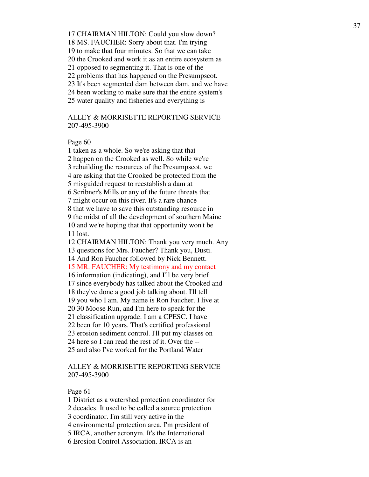17 CHAIRMAN HILTON: Could you slow down? 18 MS. FAUCHER: Sorry about that. I'm trying 19 to make that four minutes. So that we can take 20 the Crooked and work it as an entire ecosystem as 21 opposed to segmenting it. That is one of the 22 problems that has happened on the Presumpscot. 23 It's been segmented dam between dam, and we have 24 been working to make sure that the entire system's 25 water quality and fisheries and everything is

# ALLEY & MORRISETTE REPORTING SERVICE 207-495-3900

# Page 60

1 taken as a whole. So we're asking that that 2 happen on the Crooked as well. So while we're 3 rebuilding the resources of the Presumpscot, we 4 are asking that the Crooked be protected from the 5 misguided request to reestablish a dam at 6 Scribner's Mills or any of the future threats that 7 might occur on this river. It's a rare chance 8 that we have to save this outstanding resource in 9 the midst of all the development of southern Maine 10 and we're hoping that that opportunity won't be 11 lost. 12 CHAIRMAN HILTON: Thank you very much. Any 13 questions for Mrs. Faucher? Thank you, Dusti. 14 And Ron Faucher followed by Nick Bennett. 15 MR. FAUCHER: My testimony and my contact 16 information (indicating), and I'll be very brief 17 since everybody has talked about the Crooked and 18 they've done a good job talking about. I'll tell 19 you who I am. My name is Ron Faucher. I live at 20 30 Moose Run, and I'm here to speak for the 21 classification upgrade. I am a CPESC. I have 22 been for 10 years. That's certified professional 23 erosion sediment control. I'll put my classes on 24 here so I can read the rest of it. Over the -- 25 and also I've worked for the Portland Water

# ALLEY & MORRISETTE REPORTING SERVICE 207-495-3900

#### Page 61

1 District as a watershed protection coordinator for

2 decades. It used to be called a source protection

3 coordinator. I'm still very active in the

4 environmental protection area. I'm president of

5 IRCA, another acronym. It's the International

6 Erosion Control Association. IRCA is an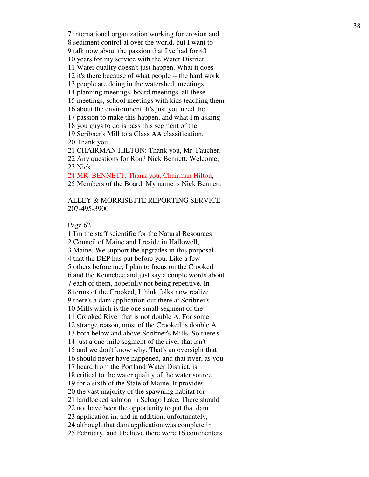7 international organization working for erosion and

8 sediment control al over the world, but I want to

9 talk now about the passion that I've had for 43

10 years for my service with the Water District.

11 Water quality doesn't just happen. What it does

12 it's there because of what people -- the hard work

13 people are doing in the watershed, meetings,

14 planning meetings, board meetings, all these

15 meetings, school meetings with kids teaching them

16 about the environment. It's just you need the

17 passion to make this happen, and what I'm asking

18 you guys to do is pass this segment of the

19 Scribner's Mill to a Class AA classification. 20 Thank you.

21 CHAIRMAN HILTON: Thank you, Mr. Faucher.

22 Any questions for Ron? Nick Bennett. Welcome, 23 Nick.

24 MR. BENNETT: Thank you, Chairman Hilton,

25 Members of the Board. My name is Nick Bennett.

ALLEY & MORRISETTE REPORTING SERVICE 207-495-3900

Page 62

1 I'm the staff scientific for the Natural Resources 2 Council of Maine and I reside in Hallowell, 3 Maine. We support the upgrades in this proposal 4 that the DEP has put before you. Like a few 5 others before me, I plan to focus on the Crooked 6 and the Kennebec and just say a couple words about 7 each of them, hopefully not being repetitive. In 8 terms of the Crooked, I think folks now realize 9 there's a dam application out there at Scribner's 10 Mills which is the one small segment of the 11 Crooked River that is not double A. For some 12 strange reason, most of the Crooked is double A 13 both below and above Scribner's Mills. So there's 14 just a one-mile segment of the river that isn't 15 and we don't know why. That's an oversight that 16 should never have happened, and that river, as you 17 heard from the Portland Water District, is 18 critical to the water quality of the water source 19 for a sixth of the State of Maine. It provides 20 the vast majority of the spawning habitat for 21 landlocked salmon in Sebago Lake. There should 22 not have been the opportunity to put that dam 23 application in, and in addition, unfortunately, 24 although that dam application was complete in 25 February, and I believe there were 16 commenters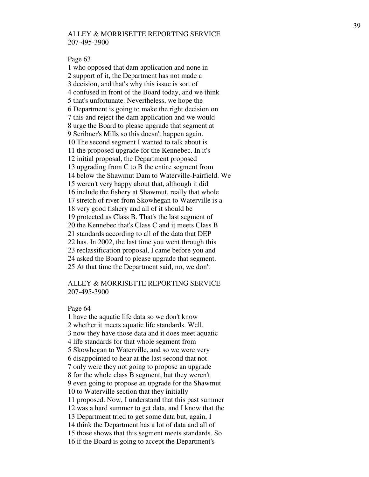#### Page 63

1 who opposed that dam application and none in 2 support of it, the Department has not made a 3 decision, and that's why this issue is sort of 4 confused in front of the Board today, and we think 5 that's unfortunate. Nevertheless, we hope the 6 Department is going to make the right decision on 7 this and reject the dam application and we would 8 urge the Board to please upgrade that segment at 9 Scribner's Mills so this doesn't happen again. 10 The second segment I wanted to talk about is 11 the proposed upgrade for the Kennebec. In it's 12 initial proposal, the Department proposed 13 upgrading from C to B the entire segment from 14 below the Shawmut Dam to Waterville-Fairfield. We 15 weren't very happy about that, although it did 16 include the fishery at Shawmut, really that whole 17 stretch of river from Skowhegan to Waterville is a 18 very good fishery and all of it should be 19 protected as Class B. That's the last segment of 20 the Kennebec that's Class C and it meets Class B 21 standards according to all of the data that DEP 22 has. In 2002, the last time you went through this 23 reclassification proposal, I came before you and 24 asked the Board to please upgrade that segment. 25 At that time the Department said, no, we don't

# ALLEY & MORRISETTE REPORTING SERVICE 207-495-3900

#### Page 64

1 have the aquatic life data so we don't know 2 whether it meets aquatic life standards. Well, 3 now they have those data and it does meet aquatic 4 life standards for that whole segment from 5 Skowhegan to Waterville, and so we were very 6 disappointed to hear at the last second that not 7 only were they not going to propose an upgrade 8 for the whole class B segment, but they weren't 9 even going to propose an upgrade for the Shawmut 10 to Waterville section that they initially 11 proposed. Now, I understand that this past summer 12 was a hard summer to get data, and I know that the 13 Department tried to get some data but, again, I 14 think the Department has a lot of data and all of 15 those shows that this segment meets standards. So 16 if the Board is going to accept the Department's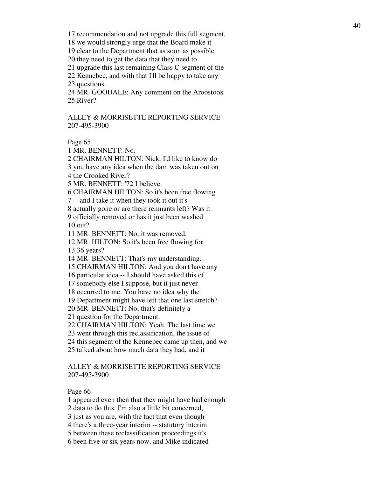17 recommendation and not upgrade this full segment,

18 we would strongly urge that the Board make it

19 clear to the Department that as soon as possible

20 they need to get the data that they need to

21 upgrade this last remaining Class C segment of the

22 Kennebec, and with that I'll be happy to take any 23 questions.

24 MR. GOODALE: Any comment on the Aroostook 25 River?

ALLEY & MORRISETTE REPORTING SERVICE 207-495-3900

Page 65

1 MR. BENNETT: No.

2 CHAIRMAN HILTON: Nick, I'd like to know do 3 you have any idea when the dam was taken out on

4 the Crooked River?

5 MR. BENNETT: '72 I believe.

6 CHAIRMAN HILTON: So it's been free flowing

7 -- and I take it when they took it out it's

8 actually gone or are there remnants left? Was it

9 officially removed or has it just been washed 10 out?

11 MR. BENNETT: No, it was removed.

12 MR. HILTON: So it's been free flowing for 13 36 years?

14 MR. BENNETT: That's my understanding.

15 CHAIRMAN HILTON: And you don't have any

16 particular idea -- I should have asked this of

17 somebody else I suppose, but it just never

18 occurred to me. You have no idea why the

19 Department might have left that one last stretch?

20 MR. BENNETT: No, that's definitely a

21 question for the Department.

22 CHAIRMAN HILTON: Yeah. The last time we

23 went through this reclassification, the issue of

24 this segment of the Kennebec came up then, and we

25 talked about how much data they had, and it

# ALLEY & MORRISETTE REPORTING SERVICE 207-495-3900

#### Page 66

1 appeared even then that they might have had enough

2 data to do this. I'm also a little bit concerned,

3 just as you are, with the fact that even though

4 there's a three-year interim -- statutory interim

5 between these reclassification proceedings it's

6 been five or six years now, and Mike indicated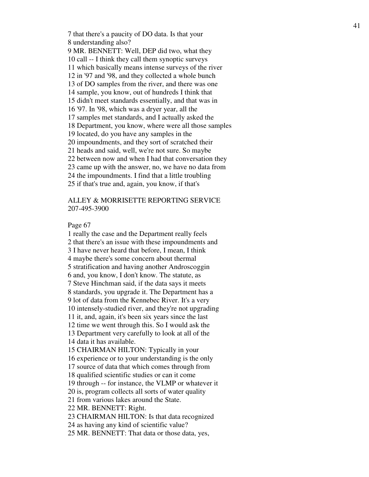7 that there's a paucity of DO data. Is that your 8 understanding also? 9 MR. BENNETT: Well, DEP did two, what they 10 call -- I think they call them synoptic surveys 11 which basically means intense surveys of the river 12 in '97 and '98, and they collected a whole bunch 13 of DO samples from the river, and there was one 14 sample, you know, out of hundreds I think that 15 didn't meet standards essentially, and that was in 16 '97. In '98, which was a dryer year, all the 17 samples met standards, and I actually asked the 18 Department, you know, where were all those samples 19 located, do you have any samples in the 20 impoundments, and they sort of scratched their 21 heads and said, well, we're not sure. So maybe 22 between now and when I had that conversation they 23 came up with the answer, no, we have no data from 24 the impoundments. I find that a little troubling 25 if that's true and, again, you know, if that's

# ALLEY & MORRISETTE REPORTING SERVICE 207-495-3900

Page 67

1 really the case and the Department really feels 2 that there's an issue with these impoundments and 3 I have never heard that before, I mean, I think 4 maybe there's some concern about thermal 5 stratification and having another Androscoggin 6 and, you know, I don't know. The statute, as 7 Steve Hinchman said, if the data says it meets 8 standards, you upgrade it. The Department has a 9 lot of data from the Kennebec River. It's a very 10 intensely-studied river, and they're not upgrading 11 it, and, again, it's been six years since the last 12 time we went through this. So I would ask the 13 Department very carefully to look at all of the 14 data it has available. 15 CHAIRMAN HILTON: Typically in your 16 experience or to your understanding is the only 17 source of data that which comes through from 18 qualified scientific studies or can it come 19 through -- for instance, the VLMP or whatever it 20 is, program collects all sorts of water quality 21 from various lakes around the State. 22 MR. BENNETT: Right. 23 CHAIRMAN HILTON: Is that data recognized 24 as having any kind of scientific value? 25 MR. BENNETT: That data or those data, yes,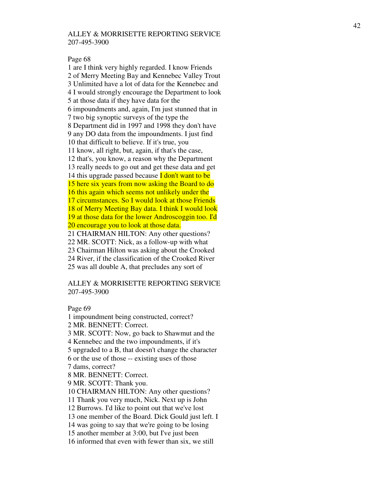Page 68

1 are I think very highly regarded. I know Friends 2 of Merry Meeting Bay and Kennebec Valley Trout 3 Unlimited have a lot of data for the Kennebec and 4 I would strongly encourage the Department to look 5 at those data if they have data for the 6 impoundments and, again, I'm just stunned that in 7 two big synoptic surveys of the type the 8 Department did in 1997 and 1998 they don't have 9 any DO data from the impoundments. I just find 10 that difficult to believe. If it's true, you 11 know, all right, but, again, if that's the case, 12 that's, you know, a reason why the Department 13 really needs to go out and get these data and get 14 this upgrade passed because **I don't want to be** 15 here six years from now asking the Board to do 16 this again which seems not unlikely under the 17 circumstances. So I would look at those Friends 18 of Merry Meeting Bay data. I think I would look 19 at those data for the lower Androscoggin too. I'd 20 encourage you to look at those data. 21 CHAIRMAN HILTON: Any other questions? 22 MR. SCOTT: Nick, as a follow-up with what 23 Chairman Hilton was asking about the Crooked 24 River, if the classification of the Crooked River 25 was all double A, that precludes any sort of

# ALLEY & MORRISETTE REPORTING SERVICE 207-495-3900

Page 69

1 impoundment being constructed, correct? 2 MR. BENNETT: Correct. 3 MR. SCOTT: Now, go back to Shawmut and the 4 Kennebec and the two impoundments, if it's 5 upgraded to a B, that doesn't change the character 6 or the use of those -- existing uses of those 7 dams, correct? 8 MR. BENNETT: Correct. 9 MR. SCOTT: Thank you. 10 CHAIRMAN HILTON: Any other questions? 11 Thank you very much, Nick. Next up is John 12 Burrows. I'd like to point out that we've lost 13 one member of the Board. Dick Gould just left. I 14 was going to say that we're going to be losing 15 another member at 3:00, but I've just been 16 informed that even with fewer than six, we still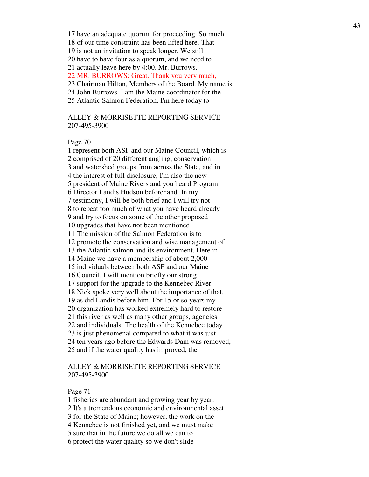17 have an adequate quorum for proceeding. So much

18 of our time constraint has been lifted here. That

19 is not an invitation to speak longer. We still

20 have to have four as a quorum, and we need to

21 actually leave here by 4:00. Mr. Burrows.

22 MR. BURROWS: Great. Thank you very much,

23 Chairman Hilton, Members of the Board. My name is

24 John Burrows. I am the Maine coordinator for the

25 Atlantic Salmon Federation. I'm here today to

ALLEY & MORRISETTE REPORTING SERVICE 207-495-3900

## Page 70

1 represent both ASF and our Maine Council, which is 2 comprised of 20 different angling, conservation 3 and watershed groups from across the State, and in 4 the interest of full disclosure, I'm also the new 5 president of Maine Rivers and you heard Program 6 Director Landis Hudson beforehand. In my 7 testimony, I will be both brief and I will try not 8 to repeat too much of what you have heard already 9 and try to focus on some of the other proposed 10 upgrades that have not been mentioned. 11 The mission of the Salmon Federation is to 12 promote the conservation and wise management of 13 the Atlantic salmon and its environment. Here in 14 Maine we have a membership of about 2,000 15 individuals between both ASF and our Maine 16 Council. I will mention briefly our strong 17 support for the upgrade to the Kennebec River. 18 Nick spoke very well about the importance of that, 19 as did Landis before him. For 15 or so years my 20 organization has worked extremely hard to restore 21 this river as well as many other groups, agencies 22 and individuals. The health of the Kennebec today 23 is just phenomenal compared to what it was just 24 ten years ago before the Edwards Dam was removed, 25 and if the water quality has improved, the

# ALLEY & MORRISETTE REPORTING SERVICE 207-495-3900

#### Page 71

1 fisheries are abundant and growing year by year.

2 It's a tremendous economic and environmental asset

3 for the State of Maine; however, the work on the

4 Kennebec is not finished yet, and we must make

5 sure that in the future we do all we can to

6 protect the water quality so we don't slide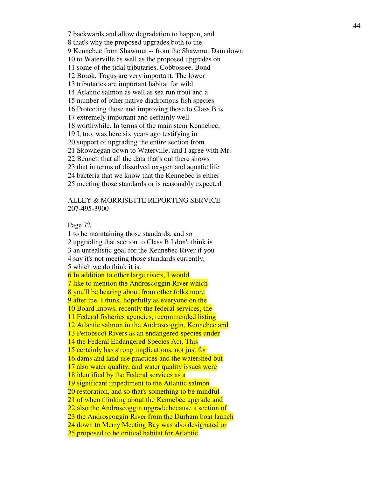7 backwards and allow degradation to happen, and 8 that's why the proposed upgrades both to the 9 Kennebec from Shawmut -- from the Shawmut Dam down 10 to Waterville as well as the proposed upgrades on 11 some of the tidal tributaries, Cobbossee, Bond 12 Brook, Togus are very important. The lower 13 tributaries are important habitat for wild 14 Atlantic salmon as well as sea run trout and a 15 number of other native diadromous fish species. 16 Protecting those and improving those to Class B is 17 extremely important and certainly well 18 worthwhile. In terms of the main stem Kennebec, 19 I, too, was here six years ago testifying in 20 support of upgrading the entire section from 21 Skowhegan down to Waterville, and I agree with Mr. 22 Bennett that all the data that's out there shows 23 that in terms of dissolved oxygen and aquatic life 24 bacteria that we know that the Kennebec is either 25 meeting those standards or is reasonably expected

# ALLEY & MORRISETTE REPORTING SERVICE 207-495-3900

#### Page 72

1 to be maintaining those standards, and so 2 upgrading that section to Class B I don't think is 3 an unrealistic goal for the Kennebec River if you 4 say it's not meeting those standards currently, 5 which we do think it is. 6 In addition to other large rivers, I would 7 like to mention the Androscoggin River which 8 you'll be hearing about from other folks more 9 after me. I think, hopefully as everyone on the 10 Board knows, recently the federal services, the 11 Federal fisheries agencies, recommended listing 12 Atlantic salmon in the Androscoggin, Kennebec and 13 Penobscot Rivers as an endangered species under 14 the Federal Endangered Species Act. This 15 certainly has strong implications, not just for 16 dams and land use practices and the watershed but 17 also water quality, and water quality issues were 18 identified by the Federal services as a 19 significant impediment to the Atlantic salmon 20 restoration, and so that's something to be mindful 21 of when thinking about the Kennebec upgrade and 22 also the Androscoggin upgrade because a section of 23 the Androscoggin River from the Durham boat launch 24 down to Merry Meeting Bay was also designated or 25 proposed to be critical habitat for Atlantic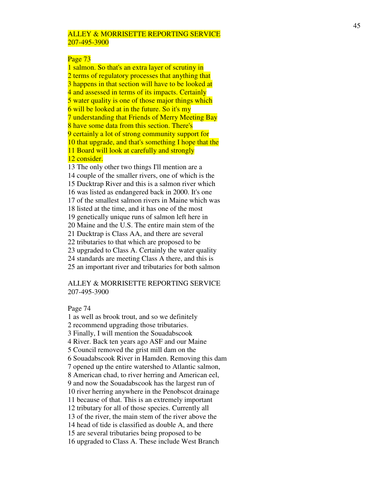### Page 73

1 salmon. So that's an extra layer of scrutiny in 2 terms of regulatory processes that anything that 3 happens in that section will have to be looked at 4 and assessed in terms of its impacts. Certainly 5 water quality is one of those major things which 6 will be looked at in the future. So it's my 7 understanding that Friends of Merry Meeting Bay 8 have some data from this section. There's 9 certainly a lot of strong community support for 10 that upgrade, and that's something I hope that the 11 Board will look at carefully and strongly

# 12 consider.

13 The only other two things I'll mention are a 14 couple of the smaller rivers, one of which is the 15 Ducktrap River and this is a salmon river which 16 was listed as endangered back in 2000. It's one 17 of the smallest salmon rivers in Maine which was 18 listed at the time, and it has one of the most 19 genetically unique runs of salmon left here in 20 Maine and the U.S. The entire main stem of the 21 Ducktrap is Class AA, and there are several 22 tributaries to that which are proposed to be 23 upgraded to Class A. Certainly the water quality 24 standards are meeting Class A there, and this is 25 an important river and tributaries for both salmon

# ALLEY & MORRISETTE REPORTING SERVICE 207-495-3900

#### Page 74

1 as well as brook trout, and so we definitely 2 recommend upgrading those tributaries. 3 Finally, I will mention the Souadabscook 4 River. Back ten years ago ASF and our Maine 5 Council removed the grist mill dam on the 6 Souadabscook River in Hamden. Removing this dam 7 opened up the entire watershed to Atlantic salmon, 8 American chad, to river herring and American eel, 9 and now the Souadabscook has the largest run of 10 river herring anywhere in the Penobscot drainage 11 because of that. This is an extremely important 12 tributary for all of those species. Currently all 13 of the river, the main stem of the river above the 14 head of tide is classified as double A, and there 15 are several tributaries being proposed to be 16 upgraded to Class A. These include West Branch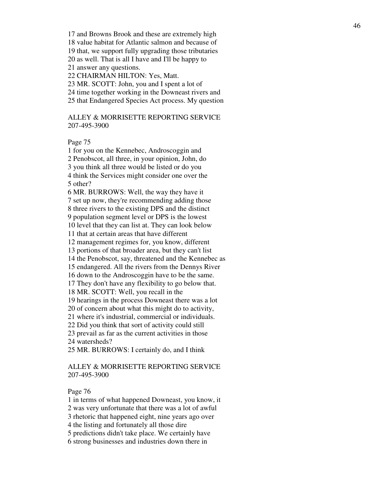17 and Browns Brook and these are extremely high 18 value habitat for Atlantic salmon and because of 19 that, we support fully upgrading those tributaries 20 as well. That is all I have and I'll be happy to 21 answer any questions. 22 CHAIRMAN HILTON: Yes, Matt. 23 MR. SCOTT: John, you and I spent a lot of

24 time together working in the Downeast rivers and

25 that Endangered Species Act process. My question

ALLEY & MORRISETTE REPORTING SERVICE 207-495-3900

#### Page 75

1 for you on the Kennebec, Androscoggin and 2 Penobscot, all three, in your opinion, John, do 3 you think all three would be listed or do you 4 think the Services might consider one over the 5 other?

6 MR. BURROWS: Well, the way they have it 7 set up now, they're recommending adding those 8 three rivers to the existing DPS and the distinct 9 population segment level or DPS is the lowest

10 level that they can list at. They can look below

11 that at certain areas that have different

12 management regimes for, you know, different

13 portions of that broader area, but they can't list

14 the Penobscot, say, threatened and the Kennebec as

15 endangered. All the rivers from the Dennys River

16 down to the Androscoggin have to be the same.

17 They don't have any flexibility to go below that.

18 MR. SCOTT: Well, you recall in the

19 hearings in the process Downeast there was a lot

20 of concern about what this might do to activity,

21 where it's industrial, commercial or individuals.

22 Did you think that sort of activity could still

23 prevail as far as the current activities in those 24 watersheds?

25 MR. BURROWS: I certainly do, and I think

# ALLEY & MORRISETTE REPORTING SERVICE 207-495-3900

#### Page 76

1 in terms of what happened Downeast, you know, it

2 was very unfortunate that there was a lot of awful

3 rhetoric that happened eight, nine years ago over

4 the listing and fortunately all those dire

5 predictions didn't take place. We certainly have

6 strong businesses and industries down there in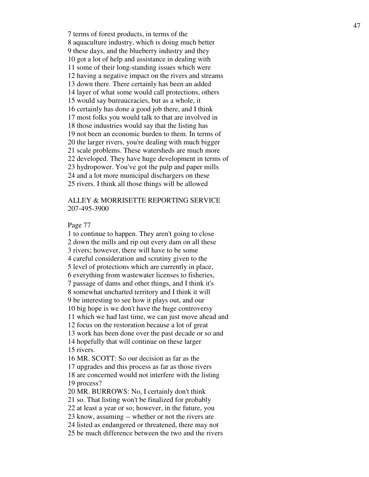7 terms of forest products, in terms of the 8 aquaculture industry, which is doing much better 9 these days, and the blueberry industry and they 10 got a lot of help and assistance in dealing with 11 some of their long-standing issues which were 12 having a negative impact on the rivers and streams 13 down there. There certainly has been an added 14 layer of what some would call protections, others 15 would say bureaucracies, but as a whole, it 16 certainly has done a good job there, and I think 17 most folks you would talk to that are involved in 18 those industries would say that the listing has 19 not been an economic burden to them. In terms of 20 the larger rivers, you're dealing with much bigger 21 scale problems. These watersheds are much more 22 developed. They have huge development in terms of 23 hydropower. You've got the pulp and paper mills 24 and a lot more municipal dischargers on these 25 rivers. I think all those things will be allowed

# ALLEY & MORRISETTE REPORTING SERVICE 207-495-3900

#### Page 77

1 to continue to happen. They aren't going to close 2 down the mills and rip out every dam on all these 3 rivers; however, there will have to be some 4 careful consideration and scrutiny given to the 5 level of protections which are currently in place, 6 everything from wastewater licenses to fisheries, 7 passage of dams and other things, and I think it's 8 somewhat uncharted territory and I think it will 9 be interesting to see how it plays out, and our 10 big hope is we don't have the huge controversy 11 which we had last time, we can just move ahead and 12 focus on the restoration because a lot of great 13 work has been done over the past decade or so and 14 hopefully that will continue on these larger 15 rivers. 16 MR. SCOTT: So our decision as far as the 17 upgrades and this process as far as those rivers 18 are concerned would not interfere with the listing 19 process? 20 MR. BURROWS: No, I certainly don't think 21 so. That listing won't be finalized for probably 22 at least a year or so; however, in the future, you 23 know, assuming -- whether or not the rivers are 24 listed as endangered or threatened, there may not

25 be much difference between the two and the rivers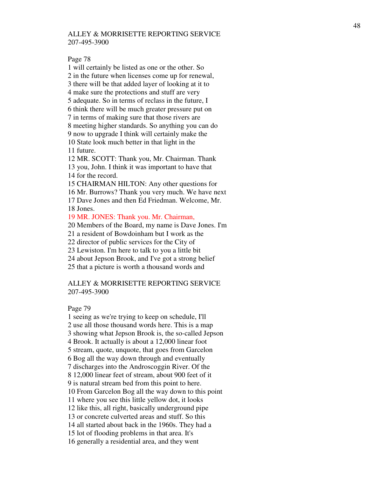Page 78

1 will certainly be listed as one or the other. So 2 in the future when licenses come up for renewal, 3 there will be that added layer of looking at it to 4 make sure the protections and stuff are very 5 adequate. So in terms of reclass in the future, I 6 think there will be much greater pressure put on 7 in terms of making sure that those rivers are 8 meeting higher standards. So anything you can do 9 now to upgrade I think will certainly make the 10 State look much better in that light in the 11 future.

12 MR. SCOTT: Thank you, Mr. Chairman. Thank 13 you, John. I think it was important to have that

14 for the record.

15 CHAIRMAN HILTON: Any other questions for

16 Mr. Burrows? Thank you very much. We have next

17 Dave Jones and then Ed Friedman. Welcome, Mr. 18 Jones.

19 MR. JONES: Thank you. Mr. Chairman,

20 Members of the Board, my name is Dave Jones. I'm

21 a resident of Bowdoinham but I work as the

22 director of public services for the City of

23 Lewiston. I'm here to talk to you a little bit

24 about Jepson Brook, and I've got a strong belief

25 that a picture is worth a thousand words and

# ALLEY & MORRISETTE REPORTING SERVICE 207-495-3900

Page 79

1 seeing as we're trying to keep on schedule, I'll 2 use all those thousand words here. This is a map 3 showing what Jepson Brook is, the so-called Jepson 4 Brook. It actually is about a 12,000 linear foot 5 stream, quote, unquote, that goes from Garcelon 6 Bog all the way down through and eventually 7 discharges into the Androscoggin River. Of the 8 12,000 linear feet of stream, about 900 feet of it 9 is natural stream bed from this point to here. 10 From Garcelon Bog all the way down to this point 11 where you see this little yellow dot, it looks 12 like this, all right, basically underground pipe 13 or concrete culverted areas and stuff. So this 14 all started about back in the 1960s. They had a 15 lot of flooding problems in that area. It's 16 generally a residential area, and they went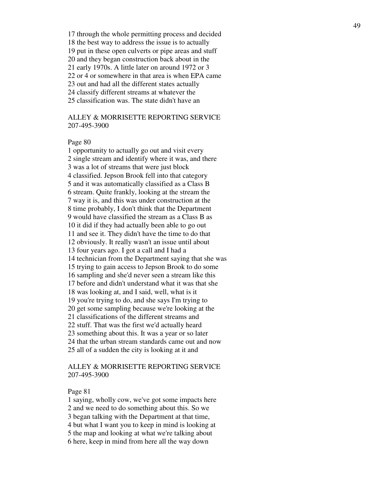17 through the whole permitting process and decided 18 the best way to address the issue is to actually 19 put in these open culverts or pipe areas and stuff 20 and they began construction back about in the 21 early 1970s. A little later on around 1972 or 3 22 or 4 or somewhere in that area is when EPA came 23 out and had all the different states actually 24 classify different streams at whatever the 25 classification was. The state didn't have an

# ALLEY & MORRISETTE REPORTING SERVICE 207-495-3900

## Page 80

1 opportunity to actually go out and visit every 2 single stream and identify where it was, and there 3 was a lot of streams that were just block 4 classified. Jepson Brook fell into that category 5 and it was automatically classified as a Class B 6 stream. Quite frankly, looking at the stream the 7 way it is, and this was under construction at the 8 time probably, I don't think that the Department 9 would have classified the stream as a Class B as 10 it did if they had actually been able to go out 11 and see it. They didn't have the time to do that 12 obviously. It really wasn't an issue until about 13 four years ago. I got a call and I had a 14 technician from the Department saying that she was 15 trying to gain access to Jepson Brook to do some 16 sampling and she'd never seen a stream like this 17 before and didn't understand what it was that she 18 was looking at, and I said, well, what is it 19 you're trying to do, and she says I'm trying to 20 get some sampling because we're looking at the 21 classifications of the different streams and 22 stuff. That was the first we'd actually heard 23 something about this. It was a year or so later 24 that the urban stream standards came out and now 25 all of a sudden the city is looking at it and

# ALLEY & MORRISETTE REPORTING SERVICE 207-495-3900

#### Page 81

1 saying, wholly cow, we've got some impacts here 2 and we need to do something about this. So we 3 began talking with the Department at that time, 4 but what I want you to keep in mind is looking at 5 the map and looking at what we're talking about 6 here, keep in mind from here all the way down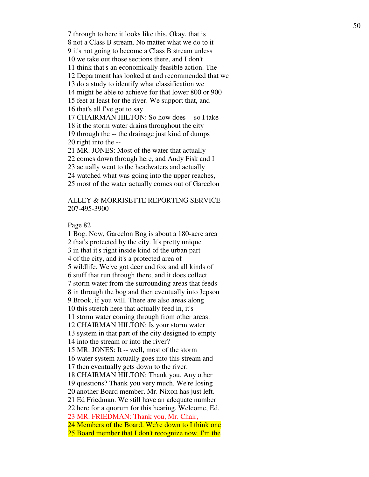7 through to here it looks like this. Okay, that is 8 not a Class B stream. No matter what we do to it 9 it's not going to become a Class B stream unless 10 we take out those sections there, and I don't 11 think that's an economically-feasible action. The 12 Department has looked at and recommended that we 13 do a study to identify what classification we 14 might be able to achieve for that lower 800 or 900 15 feet at least for the river. We support that, and 16 that's all I've got to say. 17 CHAIRMAN HILTON: So how does -- so I take 18 it the storm water drains throughout the city 19 through the -- the drainage just kind of dumps 20 right into the -- 21 MR. JONES: Most of the water that actually

22 comes down through here, and Andy Fisk and I

23 actually went to the headwaters and actually

24 watched what was going into the upper reaches,

25 most of the water actually comes out of Garcelon

# ALLEY & MORRISETTE REPORTING SERVICE 207-495-3900

Page 82

1 Bog. Now, Garcelon Bog is about a 180-acre area 2 that's protected by the city. It's pretty unique 3 in that it's right inside kind of the urban part 4 of the city, and it's a protected area of 5 wildlife. We've got deer and fox and all kinds of 6 stuff that run through there, and it does collect 7 storm water from the surrounding areas that feeds 8 in through the bog and then eventually into Jepson 9 Brook, if you will. There are also areas along 10 this stretch here that actually feed in, it's 11 storm water coming through from other areas. 12 CHAIRMAN HILTON: Is your storm water 13 system in that part of the city designed to empty 14 into the stream or into the river? 15 MR. JONES: It -- well, most of the storm 16 water system actually goes into this stream and 17 then eventually gets down to the river. 18 CHAIRMAN HILTON: Thank you. Any other 19 questions? Thank you very much. We're losing 20 another Board member. Mr. Nixon has just left. 21 Ed Friedman. We still have an adequate number 22 here for a quorum for this hearing. Welcome, Ed. 23 MR. FRIEDMAN: Thank you, Mr. Chair, 24 Members of the Board. We're down to I think one 25 Board member that I don't recognize now. I'm the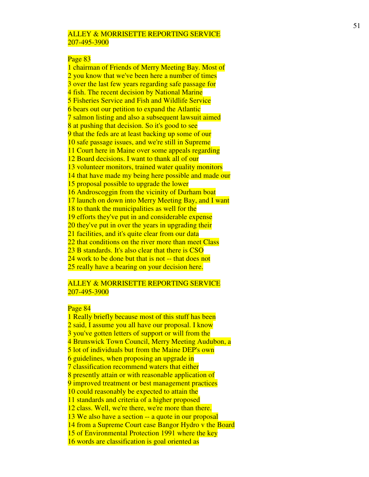#### Page 83

1 chairman of Friends of Merry Meeting Bay. Most of 2 you know that we've been here a number of times 3 over the last few years regarding safe passage for 4 fish. The recent decision by National Marine 5 Fisheries Service and Fish and Wildlife Service 6 bears out our petition to expand the Atlantic 7 salmon listing and also a subsequent lawsuit aimed 8 at pushing that decision. So it's good to see 9 that the feds are at least backing up some of our 10 safe passage issues, and we're still in Supreme 11 Court here in Maine over some appeals regarding 12 Board decisions. I want to thank all of our 13 volunteer monitors, trained water quality monitors 14 that have made my being here possible and made our 15 proposal possible to upgrade the lower 16 Androscoggin from the vicinity of Durham boat 17 launch on down into Merry Meeting Bay, and I want 18 to thank the municipalities as well for the 19 efforts they've put in and considerable expense 20 they've put in over the years in upgrading their 21 facilities, and it's quite clear from our data 22 that conditions on the river more than meet Class 23 B standards. It's also clear that there is CSO 24 work to be done but that is not -- that does not 25 really have a bearing on your decision here.

### ALLEY & MORRISETTE REPORTING SERVICE 207-495-3900

# Page 84

1 Really briefly because most of this stuff has been 2 said, I assume you all have our proposal. I know 3 you've gotten letters of support or will from the 4 Brunswick Town Council, Merry Meeting Audubon, a 5 lot of individuals but from the Maine DEP's own 6 guidelines, when proposing an upgrade in 7 classification recommend waters that either 8 presently attain or with reasonable application of 9 improved treatment or best management practices 10 could reasonably be expected to attain the 11 standards and criteria of a higher proposed 12 class. Well, we're there, we're more than there. 13 We also have a section -- a quote in our proposal 14 from a Supreme Court case Bangor Hydro v the Board 15 of Environmental Protection 1991 where the key 16 words are classification is goal oriented as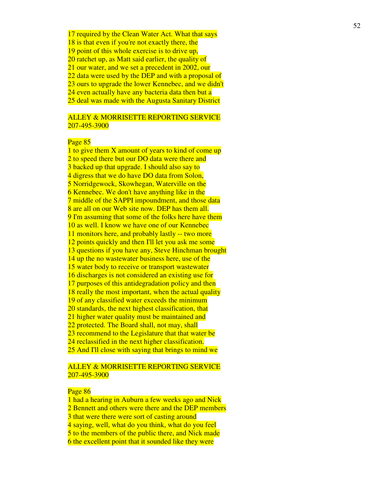17 required by the Clean Water Act. What that says 18 is that even if you're not exactly there, the 19 point of this whole exercise is to drive up, 20 ratchet up, as Matt said earlier, the quality of 21 our water, and we set a precedent in 2002, our 22 data were used by the DEP and with a proposal of 23 ours to upgrade the lower Kennebec, and we didn't 24 even actually have any bacteria data then but a 25 deal was made with the Augusta Sanitary District

# ALLEY & MORRISETTE REPORTING SERVICE 207-495-3900

# Page 85

1 to give them X amount of years to kind of come up 2 to speed there but our DO data were there and 3 backed up that upgrade. I should also say to 4 digress that we do have DO data from Solon, 5 Norridgewock, Skowhegan, Waterville on the 6 Kennebec. We don't have anything like in the 7 middle of the SAPPI impoundment, and those data 8 are all on our Web site now. DEP has them all. 9 I'm assuming that some of the folks here have them 10 as well. I know we have one of our Kennebec 11 monitors here, and probably lastly -- two more 12 points quickly and then I'll let you ask me some 13 questions if you have any, Steve Hinchman brought 14 up the no wastewater business here, use of the 15 water body to receive or transport wastewater 16 discharges is not considered an existing use for 17 purposes of this antidegradation policy and then 18 really the most important, when the actual quality 19 of any classified water exceeds the minimum 20 standards, the next highest classification, that 21 higher water quality must be maintained and 22 protected. The Board shall, not may, shall 23 recommend to the Legislature that that water be 24 reclassified in the next higher classification. 25 And I'll close with saying that brings to mind we

# ALLEY & MORRISETTE REPORTING SERVICE 207-495-3900

#### Page 86

1 had a hearing in Auburn a few weeks ago and Nick 2 Bennett and others were there and the DEP members 3 that were there were sort of casting around 4 saying, well, what do you think, what do you feel 5 to the members of the public there, and Nick made 6 the excellent point that it sounded like they were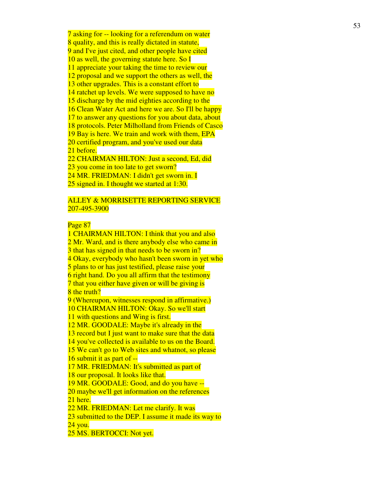7 asking for -- looking for a referendum on water 8 quality, and this is really dictated in statute, 9 and I've just cited, and other people have cited 10 as well, the governing statute here. So I 11 appreciate your taking the time to review our 12 proposal and we support the others as well, the 13 other upgrades. This is a constant effort to 14 ratchet up levels. We were supposed to have no 15 discharge by the mid eighties according to the 16 Clean Water Act and here we are. So I'll be happy 17 to answer any questions for you about data, about 18 protocols. Peter Milholland from Friends of Casco 19 Bay is here. We train and work with them, EPA 20 certified program, and you've used our data 21 before. 22 CHAIRMAN HILTON: Just a second, Ed, did 23 you come in too late to get sworn? 24 MR. FRIEDMAN: I didn't get sworn in. I

25 signed in. I thought we started at 1:30.

# ALLEY & MORRISETTE REPORTING SERVICE 207-495-3900

# Page 87

1 CHAIRMAN HILTON: I think that you and also 2 Mr. Ward, and is there anybody else who came in 3 that has signed in that needs to be sworn in? 4 Okay, everybody who hasn't been sworn in yet who 5 plans to or has just testified, please raise your 6 right hand. Do you all affirm that the testimony 7 that you either have given or will be giving is 8 the truth? 9 (Whereupon, witnesses respond in affirmative.) 10 CHAIRMAN HILTON: Okay. So we'll start 11 with questions and Wing is first. 12 MR. GOODALE: Maybe it's already in the 13 record but I just want to make sure that the data 14 you've collected is available to us on the Board. 15 We can't go to Web sites and whatnot, so please 16 submit it as part of -- 17 MR. FRIEDMAN: It's submitted as part of 18 our proposal. It looks like that. 19 MR. GOODALE: Good, and do you have -- 20 maybe we'll get information on the references 21 here. 22 MR. FRIEDMAN: Let me clarify. It was 23 submitted to the DEP. I assume it made its way to 24 you. 25 MS. BERTOCCI: Not yet.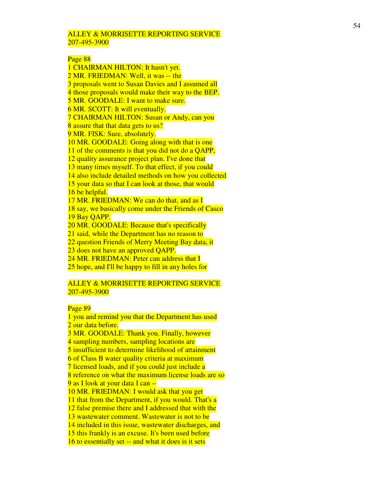# Page 88

1 CHAIRMAN HILTON: It hasn't yet. 2 MR. FRIEDMAN: Well, it was -- the 3 proposals went to Susan Davies and I assumed all 4 those proposals would make their way to the BEP. 5 MR. GOODALE: I want to make sure. 6 MR. SCOTT: It will eventually. 7 CHAIRMAN HILTON: Susan or Andy, can you 8 assure that that data gets to us? 9 MR. FISK: Sure, absolutely. 10 MR. GOODALE: Going along with that is one 11 of the comments is that you did not do a QAPP, 12 quality assurance project plan. I've done that 13 many times myself. To that effect, if you could 14 also include detailed methods on how you collected 15 your data so that I can look at those, that would 16 be helpful. 17 MR. FRIEDMAN: We can do that, and as I 18 say, we basically come under the Friends of Casco 19 Bay QAPP. 20 MR. GOODALE: Because that's specifically 21 said, while the Department has no reason to 22 question Friends of Merry Meeting Bay data, it 23 does not have an approved QAPP. 24 MR. FRIEDMAN: Peter can address that I 25 hope, and I'll be happy to fill in any holes for

# ALLEY & MORRISETTE REPORTING SERVICE 207-495-3900

# Page 89

1 you and remind you that the Department has used 2 our data before. 3 MR. GOODALE: Thank you. Finally, however 4 sampling numbers, sampling locations are 5 insufficient to determine likelihood of attainment 6 of Class B water quality criteria at maximum 7 licensed loads, and if you could just include a 8 reference on what the maximum license loads are so 9 as I look at your data I can -- 10 MR. FRIEDMAN: I would ask that you get 11 that from the Department, if you would. That's a 12 false premise there and I addressed that with the 13 wastewater comment. Wastewater is not to be 14 included in this issue, wastewater discharges, and 15 this frankly is an excuse. It's been used before 16 to essentially set -- and what it does is it sets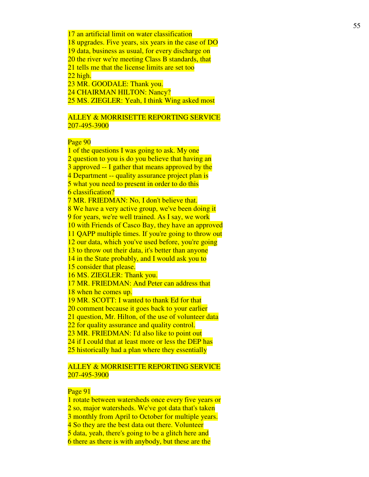17 an artificial limit on water classification 18 upgrades. Five years, six years in the case of DO 19 data, business as usual, for every discharge on 20 the river we're meeting Class B standards, that 21 tells me that the license limits are set too 22 high. 23 MR. GOODALE: Thank you. 24 CHAIRMAN HILTON: Nancy?

25 MS. ZIEGLER: Yeah, I think Wing asked most

# ALLEY & MORRISETTE REPORTING SERVICE 207-495-3900

# Page 90

1 of the questions I was going to ask. My one 2 question to you is do you believe that having an 3 approved -- I gather that means approved by the 4 Department -- quality assurance project plan is 5 what you need to present in order to do this 6 classification? 7 MR. FRIEDMAN: No, I don't believe that. 8 We have a very active group, we've been doing it 9 for years, we're well trained. As I say, we work 10 with Friends of Casco Bay, they have an approved 11 QAPP multiple times. If you're going to throw out 12 our data, which you've used before, you're going 13 to throw out their data, it's better than anyone 14 in the State probably, and I would ask you to 15 consider that please. 16 MS. ZIEGLER: Thank you. 17 MR. FRIEDMAN: And Peter can address that 18 when he comes up. 19 MR. SCOTT: I wanted to thank Ed for that 20 comment because it goes back to your earlier 21 question, Mr. Hilton, of the use of volunteer data 22 for quality assurance and quality control. 23 MR. FRIEDMAN: I'd also like to point out 24 if I could that at least more or less the DEP has 25 historically had a plan where they essentially

# ALLEY & MORRISETTE REPORTING SERVICE 207-495-3900

## Page 91

1 rotate between watersheds once every five years or 2 so, major watersheds. We've got data that's taken 3 monthly from April to October for multiple years. 4 So they are the best data out there. Volunteer 5 data, yeah, there's going to be a glitch here and 6 there as there is with anybody, but these are the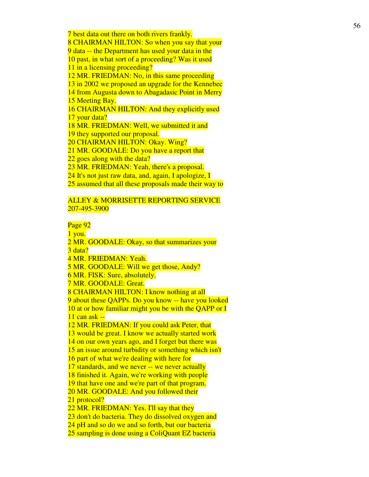7 best data out there on both rivers frankly. 8 CHAIRMAN HILTON: So when you say that your 9 data -- the Department has used your data in the 10 past, in what sort of a proceeding? Was it used 11 in a licensing proceeding? 12 MR. FRIEDMAN: No, in this same proceeding 13 in 2002 we proposed an upgrade for the Kennebec 14 from Augusta down to Abagadasic Point in Merry 15 Meeting Bay. 16 CHAIRMAN HILTON: And they explicitly used 17 your data? 18 MR. FRIEDMAN: Well, we submitted it and 19 they supported our proposal. 20 CHAIRMAN HILTON: Okay. Wing? 21 MR. GOODALE: Do you have a report that 22 goes along with the data? 23 MR. FRIEDMAN: Yeah, there's a proposal. 24 It's not just raw data, and, again, I apologize, I 25 assumed that all these proposals made their way to

# ALLEY & MORRISETTE REPORTING SERVICE 207-495-3900

Page 92

1 you. 2 MR. GOODALE: Okay, so that summarizes your 3 data? 4 MR. FRIEDMAN: Yeah. 5 MR. GOODALE: Will we get those, Andy? 6 MR. FISK: Sure, absolutely. 7 MR. GOODALE: Great. 8 CHAIRMAN HILTON: I know nothing at all 9 about these QAPPs. Do you know -- have you looked 10 at or how familiar might you be with the QAPP or I 11 can ask -- 12 MR. FRIEDMAN: If you could ask Peter, that 13 would be great. I know we actually started work 14 on our own years ago, and I forget but there was 15 an issue around turbidity or something which isn't 16 part of what we're dealing with here for 17 standards, and we never -- we never actually 18 finished it. Again, we're working with people 19 that have one and we're part of that program. 20 MR. GOODALE: And you followed their 21 protocol? 22 MR. FRIEDMAN: Yes. I'll say that they 23 don't do bacteria. They do dissolved oxygen and 24 pH and so do we and so forth, but our bacteria 25 sampling is done using a ColiQuant EZ bacteria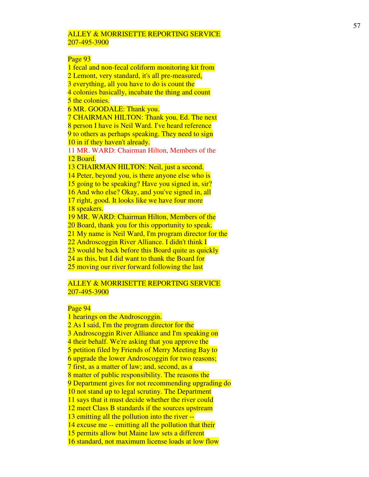### Page 93

1 fecal and non-fecal coliform monitoring kit from 2 Lemont, very standard, it's all pre-measured, 3 everything, all you have to do is count the 4 colonies basically, incubate the thing and count 5 the colonies. 6 MR. GOODALE: Thank you. 7 CHAIRMAN HILTON: Thank you, Ed. The next 8 person I have is Neil Ward. I've heard reference 9 to others as perhaps speaking. They need to sign 10 in if they haven't already. 11 MR. WARD: Chairman Hilton, Members of the 12 Board. 13 CHAIRMAN HILTON: Neil, just a second. 14 Peter, beyond you, is there anyone else who is 15 going to be speaking? Have you signed in, sir? 16 And who else? Okay, and you've signed in, all 17 right, good. It looks like we have four more 18 speakers. 19 MR. WARD: Chairman Hilton, Members of the 20 Board, thank you for this opportunity to speak. 21 My name is Neil Ward, I'm program director for the 22 Androscoggin River Alliance. I didn't think I 23 would be back before this Board quite as quickly 24 as this, but I did want to thank the Board for 25 moving our river forward following the last

#### ALLEY & MORRISETTE REPORTING SERVICE 207-495-3900

# Page 94

1 hearings on the Androscoggin. 2 As I said, I'm the program director for the 3 Androscoggin River Alliance and I'm speaking on 4 their behalf. We're asking that you approve the 5 petition filed by Friends of Merry Meeting Bay to 6 upgrade the lower Androscoggin for two reasons; 7 first, as a matter of law; and, second, as a 8 matter of public responsibility. The reasons the 9 Department gives for not recommending upgrading do 10 not stand up to legal scrutiny. The Department 11 says that it must decide whether the river could 12 meet Class B standards if the sources upstream 13 emitting all the pollution into the river -- 14 excuse me -- emitting all the pollution that their 15 permits allow but Maine law sets a different 16 standard, not maximum license loads at low flow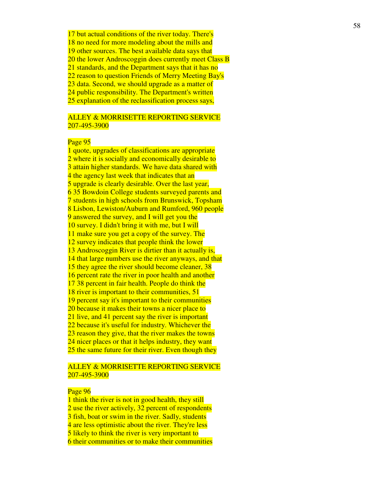17 but actual conditions of the river today. There's 18 no need for more modeling about the mills and 19 other sources. The best available data says that 20 the lower Androscoggin does currently meet Class B 21 standards, and the Department says that it has no 22 reason to question Friends of Merry Meeting Bay's 23 data. Second, we should upgrade as a matter of 24 public responsibility. The Department's written 25 explanation of the reclassification process says,

# ALLEY & MORRISETTE REPORTING SERVICE 207-495-3900

### Page 95

1 quote, upgrades of classifications are appropriate 2 where it is socially and economically desirable to 3 attain higher standards. We have data shared with 4 the agency last week that indicates that an 5 upgrade is clearly desirable. Over the last year, 6 35 Bowdoin College students surveyed parents and 7 students in high schools from Brunswick, Topsham 8 Lisbon, Lewiston/Auburn and Rumford, 960 people 9 answered the survey, and I will get you the 10 survey. I didn't bring it with me, but I will 11 make sure you get a copy of the survey. The 12 survey indicates that people think the lower 13 Androscoggin River is dirtier than it actually is, 14 that large numbers use the river anyways, and that 15 they agree the river should become cleaner, 38 16 percent rate the river in poor health and another 17 38 percent in fair health. People do think the 18 river is important to their communities, 51 19 percent say it's important to their communities 20 because it makes their towns a nicer place to 21 live, and 41 percent say the river is important 22 because it's useful for industry. Whichever the 23 reason they give, that the river makes the towns 24 nicer places or that it helps industry, they want 25 the same future for their river. Even though they

# ALLEY & MORRISETTE REPORTING SERVICE 207-495-3900

#### Page 96

1 think the river is not in good health, they still 2 use the river actively, 32 percent of respondents 3 fish, boat or swim in the river. Sadly, students 4 are less optimistic about the river. They're less 5 likely to think the river is very important to 6 their communities or to make their communities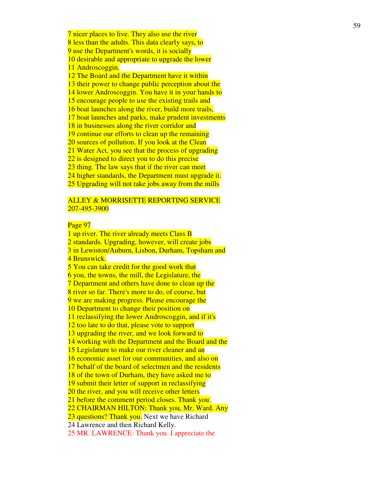7 nicer places to live. They also use the river 8 less than the adults. This data clearly says, to 9 use the Department's words, it is socially 10 desirable and appropriate to upgrade the lower 11 Androscoggin. 12 The Board and the Department have it within 13 their power to change public perception about the 14 lower Androscoggin. You have it in your hands to 15 encourage people to use the existing trails and 16 boat launches along the river, build more trails, 17 boat launches and parks, make prudent investments 18 in businesses along the river corridor and 19 continue our efforts to clean up the remaining 20 sources of pollution. If you look at the Clean 21 Water Act, you see that the process of upgrading 22 is designed to direct you to do this precise 23 thing. The law says that if the river can meet 24 higher standards, the Department must upgrade it. 25 Upgrading will not take jobs away from the mills

# ALLEY & MORRISETTE REPORTING SERVICE 207-495-3900

## Page 97

1 up river. The river already meets Class B 2 standards. Upgrading, however, will create jobs 3 in Lewiston/Auburn, Lisbon, Durham, Topsham and 4 Brunswick. 5 You can take credit for the good work that 6 you, the towns, the mill, the Legislature, the 7 Department and others have done to clean up the 8 river so far. There's more to do, of course, but 9 we are making progress. Please encourage the 10 Department to change their position on 11 reclassifying the lower Androscoggin, and if it's 12 too late to do that, please vote to support 13 upgrading the river, and we look forward to 14 working with the Department and the Board and the 15 Legislature to make our river cleaner and an 16 economic asset for our communities, and also on 17 behalf of the board of selectmen and the residents 18 of the town of Durham, they have asked me to 19 submit their letter of support in reclassifying 20 the river, and you will receive other letters 21 before the comment period closes. Thank you. 22 CHAIRMAN HILTON: Thank you, Mr. Ward. Any 23 questions? Thank you. Next we have Richard 24 Lawrence and then Richard Kelly. 25 MR. LAWRENCE: Thank you. I appreciate the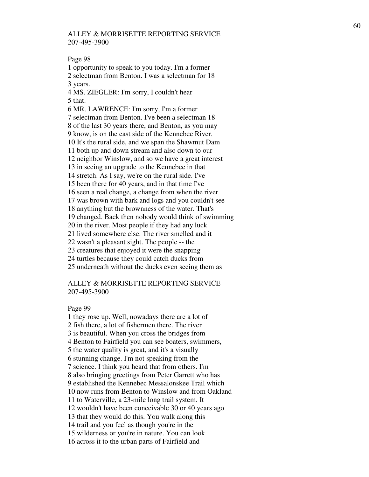Page 98

1 opportunity to speak to you today. I'm a former 2 selectman from Benton. I was a selectman for 18 3 years.

4 MS. ZIEGLER: I'm sorry, I couldn't hear 5 that.

6 MR. LAWRENCE: I'm sorry, I'm a former 7 selectman from Benton. I've been a selectman 18 8 of the last 30 years there, and Benton, as you may 9 know, is on the east side of the Kennebec River. 10 It's the rural side, and we span the Shawmut Dam 11 both up and down stream and also down to our 12 neighbor Winslow, and so we have a great interest 13 in seeing an upgrade to the Kennebec in that 14 stretch. As I say, we're on the rural side. I've 15 been there for 40 years, and in that time I've 16 seen a real change, a change from when the river 17 was brown with bark and logs and you couldn't see 18 anything but the brownness of the water. That's 19 changed. Back then nobody would think of swimming 20 in the river. Most people if they had any luck 21 lived somewhere else. The river smelled and it 22 wasn't a pleasant sight. The people -- the 23 creatures that enjoyed it were the snapping 24 turtles because they could catch ducks from 25 underneath without the ducks even seeing them as

# ALLEY & MORRISETTE REPORTING SERVICE 207-495-3900

#### Page 99

1 they rose up. Well, nowadays there are a lot of 2 fish there, a lot of fishermen there. The river 3 is beautiful. When you cross the bridges from 4 Benton to Fairfield you can see boaters, swimmers, 5 the water quality is great, and it's a visually 6 stunning change. I'm not speaking from the 7 science. I think you heard that from others. I'm 8 also bringing greetings from Peter Garrett who has 9 established the Kennebec Messalonskee Trail which 10 now runs from Benton to Winslow and from Oakland 11 to Waterville, a 23-mile long trail system. It 12 wouldn't have been conceivable 30 or 40 years ago 13 that they would do this. You walk along this 14 trail and you feel as though you're in the 15 wilderness or you're in nature. You can look 16 across it to the urban parts of Fairfield and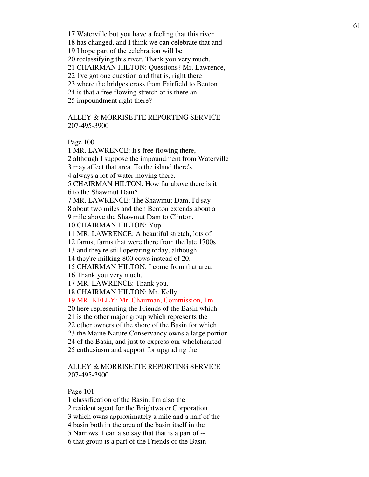17 Waterville but you have a feeling that this river

18 has changed, and I think we can celebrate that and

19 I hope part of the celebration will be

20 reclassifying this river. Thank you very much.

21 CHAIRMAN HILTON: Questions? Mr. Lawrence,

22 I've got one question and that is, right there

23 where the bridges cross from Fairfield to Benton

24 is that a free flowing stretch or is there an

25 impoundment right there?

ALLEY & MORRISETTE REPORTING SERVICE 207-495-3900

Page 100

1 MR. LAWRENCE: It's free flowing there, 2 although I suppose the impoundment from Waterville 3 may affect that area. To the island there's 4 always a lot of water moving there. 5 CHAIRMAN HILTON: How far above there is it 6 to the Shawmut Dam? 7 MR. LAWRENCE: The Shawmut Dam, I'd say 8 about two miles and then Benton extends about a 9 mile above the Shawmut Dam to Clinton. 10 CHAIRMAN HILTON: Yup. 11 MR. LAWRENCE: A beautiful stretch, lots of 12 farms, farms that were there from the late 1700s 13 and they're still operating today, although 14 they're milking 800 cows instead of 20.

15 CHAIRMAN HILTON: I come from that area.

16 Thank you very much.

17 MR. LAWRENCE: Thank you.

18 CHAIRMAN HILTON: Mr. Kelly.

19 MR. KELLY: Mr. Chairman, Commission, I'm

20 here representing the Friends of the Basin which

21 is the other major group which represents the

22 other owners of the shore of the Basin for which

23 the Maine Nature Conservancy owns a large portion

24 of the Basin, and just to express our wholehearted

25 enthusiasm and support for upgrading the

# ALLEY & MORRISETTE REPORTING SERVICE 207-495-3900

Page 101

1 classification of the Basin. I'm also the

2 resident agent for the Brightwater Corporation

3 which owns approximately a mile and a half of the

4 basin both in the area of the basin itself in the

5 Narrows. I can also say that that is a part of --

6 that group is a part of the Friends of the Basin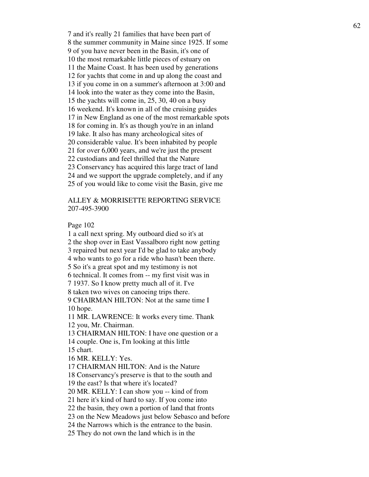7 and it's really 21 families that have been part of 8 the summer community in Maine since 1925. If some 9 of you have never been in the Basin, it's one of 10 the most remarkable little pieces of estuary on 11 the Maine Coast. It has been used by generations 12 for yachts that come in and up along the coast and 13 if you come in on a summer's afternoon at 3:00 and 14 look into the water as they come into the Basin, 15 the yachts will come in, 25, 30, 40 on a busy 16 weekend. It's known in all of the cruising guides 17 in New England as one of the most remarkable spots 18 for coming in. It's as though you're in an inland 19 lake. It also has many archeological sites of 20 considerable value. It's been inhabited by people 21 for over 6,000 years, and we're just the present 22 custodians and feel thrilled that the Nature 23 Conservancy has acquired this large tract of land 24 and we support the upgrade completely, and if any 25 of you would like to come visit the Basin, give me

# ALLEY & MORRISETTE REPORTING SERVICE 207-495-3900

Page 102

1 a call next spring. My outboard died so it's at 2 the shop over in East Vassalboro right now getting 3 repaired but next year I'd be glad to take anybody 4 who wants to go for a ride who hasn't been there. 5 So it's a great spot and my testimony is not 6 technical. It comes from -- my first visit was in 7 1937. So I know pretty much all of it. I've 8 taken two wives on canoeing trips there. 9 CHAIRMAN HILTON: Not at the same time I 10 hope. 11 MR. LAWRENCE: It works every time. Thank 12 you, Mr. Chairman. 13 CHAIRMAN HILTON: I have one question or a 14 couple. One is, I'm looking at this little 15 chart. 16 MR. KELLY: Yes. 17 CHAIRMAN HILTON: And is the Nature 18 Conservancy's preserve is that to the south and 19 the east? Is that where it's located? 20 MR. KELLY: I can show you -- kind of from 21 here it's kind of hard to say. If you come into 22 the basin, they own a portion of land that fronts 23 on the New Meadows just below Sebasco and before

24 the Narrows which is the entrance to the basin.

25 They do not own the land which is in the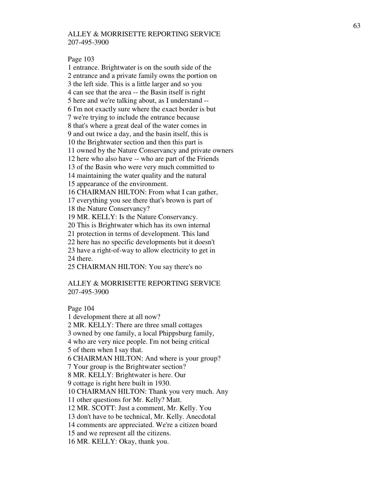Page 103

1 entrance. Brightwater is on the south side of the 2 entrance and a private family owns the portion on 3 the left side. This is a little larger and so you 4 can see that the area -- the Basin itself is right 5 here and we're talking about, as I understand -- 6 I'm not exactly sure where the exact border is but 7 we're trying to include the entrance because 8 that's where a great deal of the water comes in 9 and out twice a day, and the basin itself, this is 10 the Brightwater section and then this part is 11 owned by the Nature Conservancy and private owners 12 here who also have -- who are part of the Friends 13 of the Basin who were very much committed to 14 maintaining the water quality and the natural 15 appearance of the environment. 16 CHAIRMAN HILTON: From what I can gather, 17 everything you see there that's brown is part of 18 the Nature Conservancy? 19 MR. KELLY: Is the Nature Conservancy. 20 This is Brightwater which has its own internal 21 protection in terms of development. This land 22 here has no specific developments but it doesn't 23 have a right-of-way to allow electricity to get in 24 there. 25 CHAIRMAN HILTON: You say there's no

# ALLEY & MORRISETTE REPORTING SERVICE 207-495-3900

Page 104 1 development there at all now?

2 MR. KELLY: There are three small cottages

3 owned by one family, a local Phippsburg family,

4 who are very nice people. I'm not being critical

5 of them when I say that.

6 CHAIRMAN HILTON: And where is your group?

7 Your group is the Brightwater section?

8 MR. KELLY: Brightwater is here. Our

9 cottage is right here built in 1930.

10 CHAIRMAN HILTON: Thank you very much. Any

11 other questions for Mr. Kelly? Matt.

12 MR. SCOTT: Just a comment, Mr. Kelly. You

13 don't have to be technical, Mr. Kelly. Anecdotal

14 comments are appreciated. We're a citizen board

15 and we represent all the citizens.

16 MR. KELLY: Okay, thank you.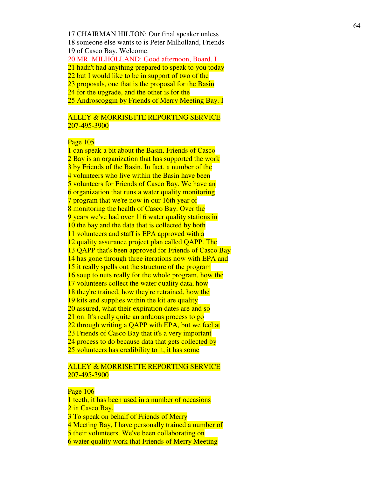17 CHAIRMAN HILTON: Our final speaker unless 18 someone else wants to is Peter Milholland, Friends 19 of Casco Bay. Welcome. 20 MR. MILHOLLAND: Good afternoon, Board. I 21 hadn't had anything prepared to speak to you today 22 but I would like to be in support of two of the 23 proposals, one that is the proposal for the Basin 24 for the upgrade, and the other is for the 25 Androscoggin by Friends of Merry Meeting Bay. I

# ALLEY & MORRISETTE REPORTING SERVICE 207-495-3900

### Page 105

1 can speak a bit about the Basin. Friends of Casco 2 Bay is an organization that has supported the work 3 by Friends of the Basin. In fact, a number of the 4 volunteers who live within the Basin have been 5 volunteers for Friends of Casco Bay. We have an 6 organization that runs a water quality monitoring 7 program that we're now in our 16th year of 8 monitoring the health of Casco Bay. Over the 9 years we've had over 116 water quality stations in 10 the bay and the data that is collected by both 11 volunteers and staff is EPA approved with a 12 quality assurance project plan called QAPP. The 13 QAPP that's been approved for Friends of Casco Bay 14 has gone through three iterations now with EPA and 15 it really spells out the structure of the program 16 soup to nuts really for the whole program, how the 17 volunteers collect the water quality data, how 18 they're trained, how they're retrained, how the 19 kits and supplies within the kit are quality 20 assured, what their expiration dates are and so 21 on. It's really quite an arduous process to go 22 through writing a QAPP with EPA, but we feel at 23 Friends of Casco Bay that it's a very important 24 process to do because data that gets collected by 25 volunteers has credibility to it, it has some

# ALLEY & MORRISETTE REPORTING SERVICE 207-495-3900

#### Page 106

1 teeth, it has been used in a number of occasions 2 in Casco Bay. 3 To speak on behalf of Friends of Merry 4 Meeting Bay, I have personally trained a number of 5 their volunteers. We've been collaborating on 6 water quality work that Friends of Merry Meeting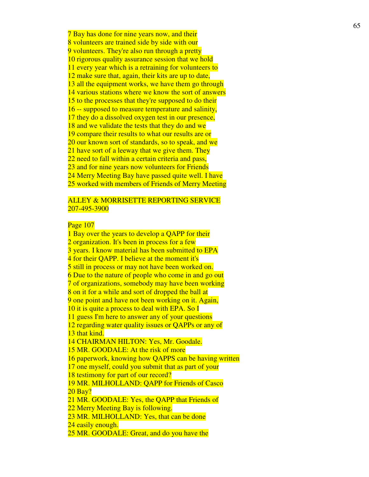7 Bay has done for nine years now, and their 8 volunteers are trained side by side with our 9 volunteers. They're also run through a pretty 10 rigorous quality assurance session that we hold 11 every year which is a retraining for volunteers to 12 make sure that, again, their kits are up to date, 13 all the equipment works, we have them go through 14 various stations where we know the sort of answers 15 to the processes that they're supposed to do their 16 -- supposed to measure temperature and salinity, 17 they do a dissolved oxygen test in our presence, 18 and we validate the tests that they do and we 19 compare their results to what our results are or 20 our known sort of standards, so to speak, and we 21 have sort of a leeway that we give them. They 22 need to fall within a certain criteria and pass, 23 and for nine years now volunteers for Friends 24 Merry Meeting Bay have passed quite well. I have 25 worked with members of Friends of Merry Meeting

### ALLEY & MORRISETTE REPORTING SERVICE 207-495-3900

# Page 107

1 Bay over the years to develop a OAPP for their 2 organization. It's been in process for a few 3 years. I know material has been submitted to EPA 4 for their QAPP. I believe at the moment it's 5 still in process or may not have been worked on. 6 Due to the nature of people who come in and go out 7 of organizations, somebody may have been working 8 on it for a while and sort of dropped the ball at 9 one point and have not been working on it. Again, 10 it is quite a process to deal with EPA. So I 11 guess I'm here to answer any of your questions 12 regarding water quality issues or QAPPs or any of 13 that kind. 14 CHAIRMAN HILTON: Yes, Mr. Goodale. 15 MR. GOODALE: At the risk of more 16 paperwork, knowing how QAPPS can be having written 17 one myself, could you submit that as part of your 18 testimony for part of our record? 19 MR. MILHOLLAND: QAPP for Friends of Casco 20 Bay? 21 MR. GOODALE: Yes, the QAPP that Friends of 22 Merry Meeting Bay is following. 23 MR. MILHOLLAND: Yes, that can be done 24 easily enough. 25 MR. GOODALE: Great, and do you have the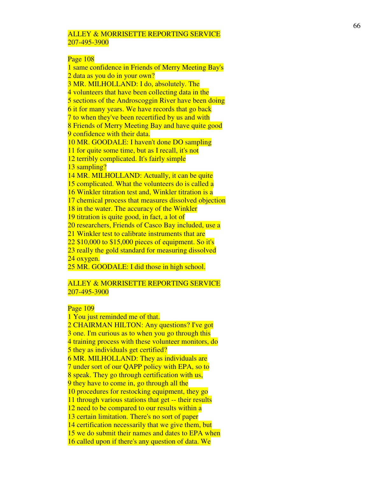#### Page 108

1 same confidence in Friends of Merry Meeting Bay's 2 data as you do in your own? 3 MR. MILHOLLAND: I do, absolutely. The 4 volunteers that have been collecting data in the 5 sections of the Androscoggin River have been doing 6 it for many years. We have records that go back 7 to when they've been recertified by us and with 8 Friends of Merry Meeting Bay and have quite good 9 confidence with their data. 10 MR. GOODALE: I haven't done DO sampling 11 for quite some time, but as I recall, it's not 12 terribly complicated. It's fairly simple 13 sampling? 14 MR. MILHOLLAND: Actually, it can be quite 15 complicated. What the volunteers do is called a 16 Winkler titration test and, Winkler titration is a 17 chemical process that measures dissolved objection 18 in the water. The accuracy of the Winkler 19 titration is quite good, in fact, a lot of 20 researchers, Friends of Casco Bay included, use a 21 Winkler test to calibrate instruments that are 22 \$10,000 to \$15,000 pieces of equipment. So it's 23 really the gold standard for measuring dissolved 24 oxygen. 25 MR. GOODALE: I did those in high school.

### ALLEY & MORRISETTE REPORTING SERVICE 207-495-3900

# Page 109

1 You just reminded me of that. 2 CHAIRMAN HILTON: Any questions? I've got 3 one. I'm curious as to when you go through this 4 training process with these volunteer monitors, do 5 they as individuals get certified? 6 MR. MILHOLLAND: They as individuals are 7 under sort of our QAPP policy with EPA, so to 8 speak. They go through certification with us, 9 they have to come in, go through all the 10 procedures for restocking equipment, they go 11 through various stations that get -- their results 12 need to be compared to our results within a 13 certain limitation. There's no sort of paper 14 certification necessarily that we give them, but 15 we do submit their names and dates to EPA when 16 called upon if there's any question of data. We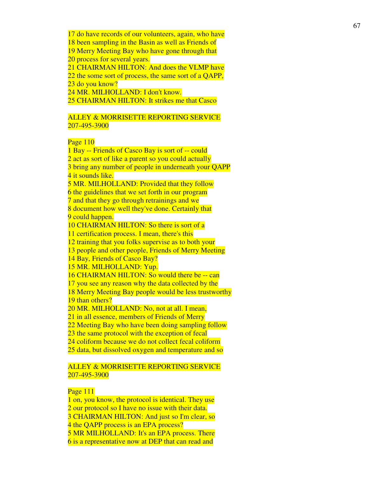17 do have records of our volunteers, again, who have

18 been sampling in the Basin as well as Friends of

19 Merry Meeting Bay who have gone through that 20 process for several years.

21 CHAIRMAN HILTON: And does the VLMP have

22 the some sort of process, the same sort of a QAPP, 23 do you know?

24 MR. MILHOLLAND: I don't know.

25 CHAIRMAN HILTON: It strikes me that Casco

# ALLEY & MORRISETTE REPORTING SERVICE 207-495-3900

# Page 110

1 Bay -- Friends of Casco Bay is sort of -- could 2 act as sort of like a parent so you could actually 3 bring any number of people in underneath your QAPP 4 it sounds like. 5 MR. MILHOLLAND: Provided that they follow 6 the guidelines that we set forth in our program 7 and that they go through retrainings and we 8 document how well they've done. Certainly that 9 could happen. 10 CHAIRMAN HILTON: So there is sort of a 11 certification process. I mean, there's this 12 training that you folks supervise as to both your 13 people and other people, Friends of Merry Meeting 14 Bay, Friends of Casco Bay? 15 MR. MILHOLLAND: Yup. 16 CHAIRMAN HILTON: So would there be -- can 17 you see any reason why the data collected by the 18 Merry Meeting Bay people would be less trustworthy 19 than others? 20 MR. MILHOLLAND: No, not at all. I mean, 21 in all essence, members of Friends of Merry 22 Meeting Bay who have been doing sampling follow 23 the same protocol with the exception of fecal 24 coliform because we do not collect fecal coliform 25 data, but dissolved oxygen and temperature and so

# ALLEY & MORRISETTE REPORTING SERVICE 207-495-3900

# Page 111

1 on, you know, the protocol is identical. They use 2 our protocol so I have no issue with their data. 3 CHAIRMAN HILTON: And just so I'm clear, so 4 the QAPP process is an EPA process? 5 MR MILHOLLAND: It's an EPA process. There 6 is a representative now at DEP that can read and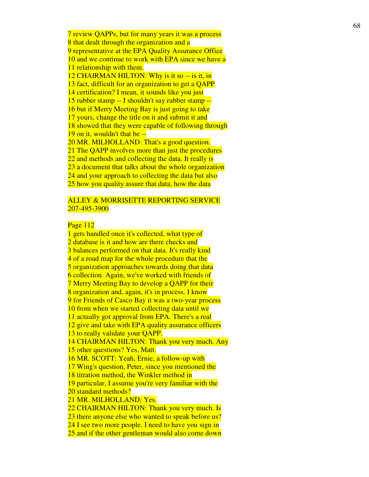7 review QAPPs, but for many years it was a process 8 that dealt through the organization and a 9 representative at the EPA Quality Assurance Office 10 and we continue to work with EPA since we have a 11 relationship with them. 12 CHAIRMAN HILTON: Why is it so -- is it, in 13 fact, difficult for an organization to get a QAPP 14 certification? I mean, it sounds like you just 15 rubber stamp -- I shouldn't say rubber stamp -- 16 but if Merry Meeting Bay is just going to take 17 yours, change the title on it and submit it and 18 showed that they were capable of following through 19 on it, wouldn't that be -- 20 MR. MILHOLLAND: That's a good question. 21 The QAPP involves more than just the procedures 22 and methods and collecting the data. It really is 23 a document that talks about the whole organization 24 and your approach to collecting the data but also 25 how you quality assure that data, how the data

### ALLEY & MORRISETTE REPORTING SERVICE 207-495-3900

# Page 112

1 gets handled once it's collected, what type of 2 database is it and how are there checks and 3 balances performed on that data. It's really kind 4 of a road map for the whole procedure that the 5 organization approaches towards doing that data 6 collection. Again, we've worked with friends of 7 Merry Meeting Bay to develop a QAPP for their 8 organization and, again, it's in process. I know 9 for Friends of Casco Bay it was a two-year process 10 from when we started collecting data until we 11 actually got approval from EPA. There's a real 12 give and take with EPA quality assurance officers 13 to really validate your QAPP. 14 CHAIRMAN HILTON: Thank you very much. Any 15 other questions? Yes, Matt. 16 MR. SCOTT: Yeah, Ernie, a follow-up with 17 Wing's question, Peter, since you mentioned the 18 titration method, the Winkler method in 19 particular, I assume you're very familiar with the 20 standard methods? 21 MR. MILHOLLAND: Yes. 22 CHAIRMAN HILTON: Thank you very much. Is 23 there anyone else who wanted to speak before us? 24 I see two more people. I need to have you sign in 25 and if the other gentleman would also come down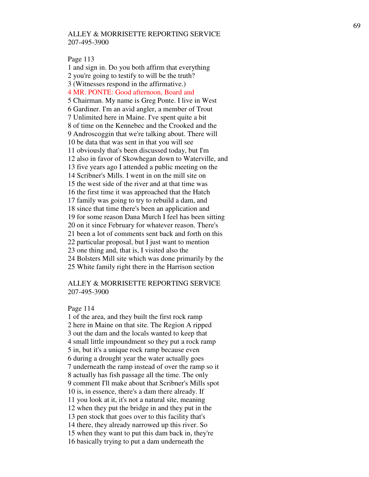Page 113

1 and sign in. Do you both affirm that everything 2 you're going to testify to will be the truth? 3 (Witnesses respond in the affirmative.) 4 MR. PONTE: Good afternoon, Board and 5 Chairman. My name is Greg Ponte. I live in West 6 Gardiner. I'm an avid angler, a member of Trout 7 Unlimited here in Maine. I've spent quite a bit 8 of time on the Kennebec and the Crooked and the 9 Androscoggin that we're talking about. There will 10 be data that was sent in that you will see 11 obviously that's been discussed today, but I'm 12 also in favor of Skowhegan down to Waterville, and 13 five years ago I attended a public meeting on the 14 Scribner's Mills. I went in on the mill site on 15 the west side of the river and at that time was 16 the first time it was approached that the Hatch 17 family was going to try to rebuild a dam, and 18 since that time there's been an application and 19 for some reason Dana Murch I feel has been sitting 20 on it since February for whatever reason. There's 21 been a lot of comments sent back and forth on this 22 particular proposal, but I just want to mention 23 one thing and, that is, I visited also the 24 Bolsters Mill site which was done primarily by the 25 White family right there in the Harrison section

# ALLEY & MORRISETTE REPORTING SERVICE 207-495-3900

#### Page 114

1 of the area, and they built the first rock ramp 2 here in Maine on that site. The Region A ripped 3 out the dam and the locals wanted to keep that 4 small little impoundment so they put a rock ramp 5 in, but it's a unique rock ramp because even 6 during a drought year the water actually goes 7 underneath the ramp instead of over the ramp so it 8 actually has fish passage all the time. The only 9 comment I'll make about that Scribner's Mills spot 10 is, in essence, there's a dam there already. If 11 you look at it, it's not a natural site, meaning 12 when they put the bridge in and they put in the 13 pen stock that goes over to this facility that's 14 there, they already narrowed up this river. So 15 when they want to put this dam back in, they're 16 basically trying to put a dam underneath the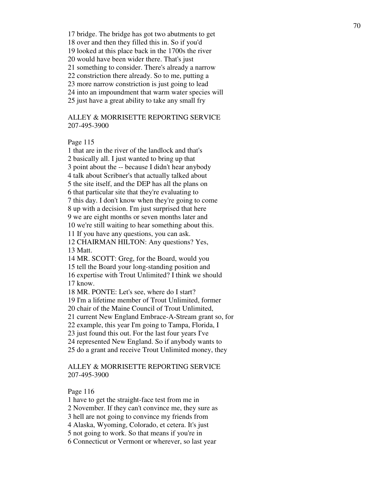17 bridge. The bridge has got two abutments to get 18 over and then they filled this in. So if you'd 19 looked at this place back in the 1700s the river 20 would have been wider there. That's just 21 something to consider. There's already a narrow 22 constriction there already. So to me, putting a 23 more narrow constriction is just going to lead 24 into an impoundment that warm water species will 25 just have a great ability to take any small fry

# ALLEY & MORRISETTE REPORTING SERVICE 207-495-3900

Page 115

1 that are in the river of the landlock and that's 2 basically all. I just wanted to bring up that 3 point about the -- because I didn't hear anybody 4 talk about Scribner's that actually talked about 5 the site itself, and the DEP has all the plans on 6 that particular site that they're evaluating to 7 this day. I don't know when they're going to come 8 up with a decision. I'm just surprised that here 9 we are eight months or seven months later and 10 we're still waiting to hear something about this. 11 If you have any questions, you can ask. 12 CHAIRMAN HILTON: Any questions? Yes, 13 Matt. 14 MR. SCOTT: Greg, for the Board, would you 15 tell the Board your long-standing position and 16 expertise with Trout Unlimited? I think we should 17 know. 18 MR. PONTE: Let's see, where do I start? 19 I'm a lifetime member of Trout Unlimited, former 20 chair of the Maine Council of Trout Unlimited,

21 current New England Embrace-A-Stream grant so, for

22 example, this year I'm going to Tampa, Florida, I

23 just found this out. For the last four years I've

24 represented New England. So if anybody wants to

25 do a grant and receive Trout Unlimited money, they

# ALLEY & MORRISETTE REPORTING SERVICE 207-495-3900

Page 116

1 have to get the straight-face test from me in

2 November. If they can't convince me, they sure as

3 hell are not going to convince my friends from

4 Alaska, Wyoming, Colorado, et cetera. It's just

5 not going to work. So that means if you're in

6 Connecticut or Vermont or wherever, so last year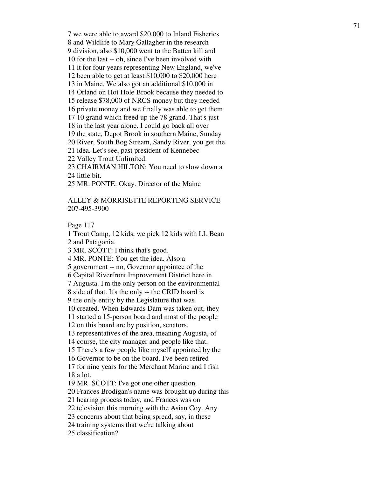7 we were able to award \$20,000 to Inland Fisheries 8 and Wildlife to Mary Gallagher in the research 9 division, also \$10,000 went to the Batten kill and 10 for the last -- oh, since I've been involved with 11 it for four years representing New England, we've 12 been able to get at least \$10,000 to \$20,000 here 13 in Maine. We also got an additional \$10,000 in 14 Orland on Hot Hole Brook because they needed to 15 release \$78,000 of NRCS money but they needed 16 private money and we finally was able to get them 17 10 grand which freed up the 78 grand. That's just 18 in the last year alone. I could go back all over 19 the state, Depot Brook in southern Maine, Sunday 20 River, South Bog Stream, Sandy River, you get the 21 idea. Let's see, past president of Kennebec 22 Valley Trout Unlimited. 23 CHAIRMAN HILTON: You need to slow down a 24 little bit.

25 MR. PONTE: Okay. Director of the Maine

# ALLEY & MORRISETTE REPORTING SERVICE 207-495-3900

Page 117

1 Trout Camp, 12 kids, we pick 12 kids with LL Bean 2 and Patagonia.

3 MR. SCOTT: I think that's good.

4 MR. PONTE: You get the idea. Also a

5 government -- no, Governor appointee of the

6 Capital Riverfront Improvement District here in

7 Augusta. I'm the only person on the environmental

8 side of that. It's the only -- the CRID board is

9 the only entity by the Legislature that was

10 created. When Edwards Dam was taken out, they

11 started a 15-person board and most of the people

12 on this board are by position, senators,

13 representatives of the area, meaning Augusta, of

14 course, the city manager and people like that.

15 There's a few people like myself appointed by the

16 Governor to be on the board. I've been retired

17 for nine years for the Merchant Marine and I fish 18 a lot.

19 MR. SCOTT: I've got one other question.

20 Frances Brodigan's name was brought up during this

21 hearing process today, and Frances was on

22 television this morning with the Asian Coy. Any

23 concerns about that being spread, say, in these

24 training systems that we're talking about

25 classification?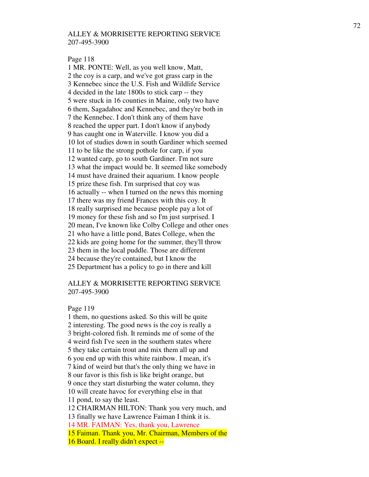#### Page 118

1 MR. PONTE: Well, as you well know, Matt, 2 the coy is a carp, and we've got grass carp in the 3 Kennebec since the U.S. Fish and Wildlife Service 4 decided in the late 1800s to stick carp -- they 5 were stuck in 16 counties in Maine, only two have 6 them, Sagadahoc and Kennebec, and they're both in 7 the Kennebec. I don't think any of them have 8 reached the upper part. I don't know if anybody 9 has caught one in Waterville. I know you did a 10 lot of studies down in south Gardiner which seemed 11 to be like the strong pothole for carp, if you 12 wanted carp, go to south Gardiner. I'm not sure 13 what the impact would be. It seemed like somebody 14 must have drained their aquarium. I know people 15 prize these fish. I'm surprised that coy was 16 actually -- when I turned on the news this morning 17 there was my friend Frances with this coy. It 18 really surprised me because people pay a lot of 19 money for these fish and so I'm just surprised. I 20 mean, I've known like Colby College and other ones 21 who have a little pond, Bates College, when the 22 kids are going home for the summer, they'll throw 23 them in the local puddle. Those are different 24 because they're contained, but I know the 25 Department has a policy to go in there and kill

# ALLEY & MORRISETTE REPORTING SERVICE 207-495-3900

#### Page 119

1 them, no questions asked. So this will be quite 2 interesting. The good news is the coy is really a 3 bright-colored fish. It reminds me of some of the 4 weird fish I've seen in the southern states where 5 they take certain trout and mix them all up and 6 you end up with this white rainbow. I mean, it's 7 kind of weird but that's the only thing we have in 8 our favor is this fish is like bright orange, but 9 once they start disturbing the water column, they 10 will create havoc for everything else in that 11 pond, to say the least. 12 CHAIRMAN HILTON: Thank you very much, and 13 finally we have Lawrence Faiman I think it is. 14 MR. FAIMAN: Yes, thank you, Lawrence

15 Faiman. Thank you, Mr. Chairman, Members of the

16 Board. I really didn't expect --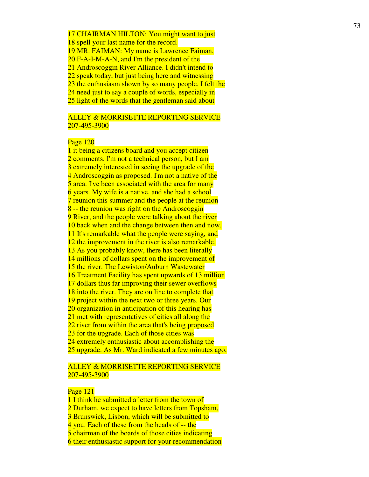17 CHAIRMAN HILTON: You might want to just 18 spell your last name for the record. 19 MR. FAIMAN: My name is Lawrence Faiman, 20 F-A-I-M-A-N, and I'm the president of the 21 Androscoggin River Alliance. I didn't intend to 22 speak today, but just being here and witnessing 23 the enthusiasm shown by so many people, I felt the 24 need just to say a couple of words, especially in 25 light of the words that the gentleman said about

# ALLEY & MORRISETTE REPORTING SERVICE 207-495-3900

#### Page 120

1 it being a citizens board and you accept citizen 2 comments. I'm not a technical person, but I am 3 extremely interested in seeing the upgrade of the 4 Androscoggin as proposed. I'm not a native of the 5 area. I've been associated with the area for many 6 years. My wife is a native, and she had a school 7 reunion this summer and the people at the reunion 8 -- the reunion was right on the Androscoggin 9 River, and the people were talking about the river 10 back when and the change between then and now. 11 It's remarkable what the people were saying, and 12 the improvement in the river is also remarkable. 13 As you probably know, there has been literally 14 millions of dollars spent on the improvement of 15 the river. The Lewiston/Auburn Wastewater 16 Treatment Facility has spent upwards of 13 million 17 dollars thus far improving their sewer overflows 18 into the river. They are on line to complete that 19 project within the next two or three years. Our 20 organization in anticipation of this hearing has 21 met with representatives of cities all along the 22 river from within the area that's being proposed 23 for the upgrade. Each of those cities was 24 extremely enthusiastic about accomplishing the 25 upgrade. As Mr. Ward indicated a few minutes ago,

# ALLEY & MORRISETTE REPORTING SERVICE 207-495-3900

#### Page 121

1 I think he submitted a letter from the town of

2 Durham, we expect to have letters from Topsham,

3 Brunswick, Lisbon, which will be submitted to

4 you. Each of these from the heads of -- the

5 chairman of the boards of those cities indicating

6 their enthusiastic support for your recommendation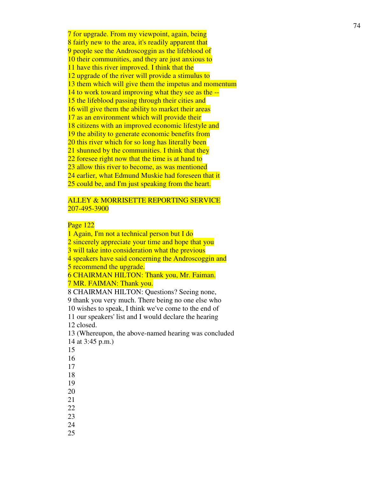7 for upgrade. From my viewpoint, again, being 8 fairly new to the area, it's readily apparent that 9 people see the Androscoggin as the lifeblood of 10 their communities, and they are just anxious to 11 have this river improved. I think that the 12 upgrade of the river will provide a stimulus to 13 them which will give them the impetus and momentum 14 to work toward improving what they see as the -- 15 the lifeblood passing through their cities and 16 will give them the ability to market their areas 17 as an environment which will provide their 18 citizens with an improved economic lifestyle and 19 the ability to generate economic benefits from 20 this river which for so long has literally been 21 shunned by the communities. I think that they 22 foresee right now that the time is at hand to 23 allow this river to become, as was mentioned 24 earlier, what Edmund Muskie had foreseen that it 25 could be, and I'm just speaking from the heart.

## ALLEY & MORRISETTE REPORTING SERVICE 207-495-3900

## Page 122

1 Again, I'm not a technical person but I do 2 sincerely appreciate your time and hope that you 3 will take into consideration what the previous 4 speakers have said concerning the Androscoggin and 5 recommend the upgrade. 6 CHAIRMAN HILTON: Thank you, Mr. Faiman. 7 MR. FAIMAN: Thank you. 8 CHAIRMAN HILTON: Questions? Seeing none, 9 thank you very much. There being no one else who 10 wishes to speak, I think we've come to the end of 11 our speakers' list and I would declare the hearing 12 closed. 13 (Whereupon, the above-named hearing was concluded 14 at 3:45 p.m.) 15 16 17 18 19

- 
- 
- 
- 
- 
- 20
- 21
- 22
- 23
- 24
- 25